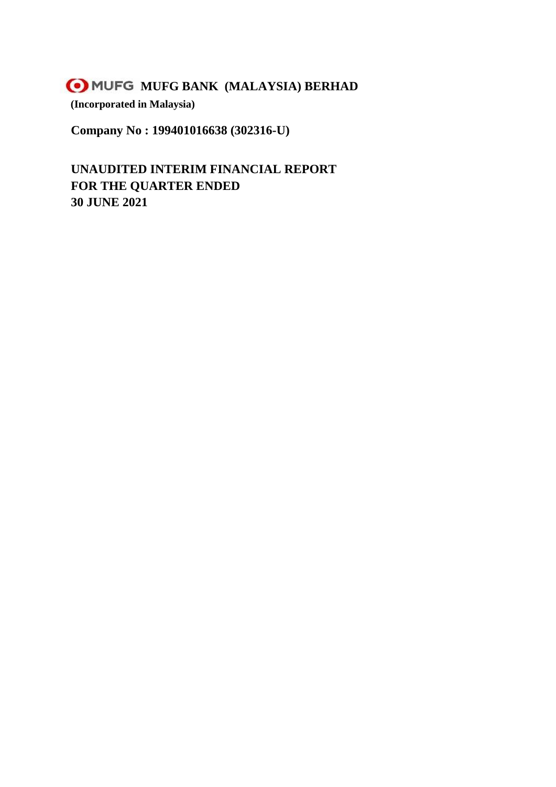**MUFG MUFG BANK (MALAYSIA) BERHAD (Incorporated in Malaysia)**

**Company No : 199401016638 (302316-U)**

**UNAUDITED INTERIM FINANCIAL REPORT FOR THE QUARTER ENDED 30 JUNE 2021**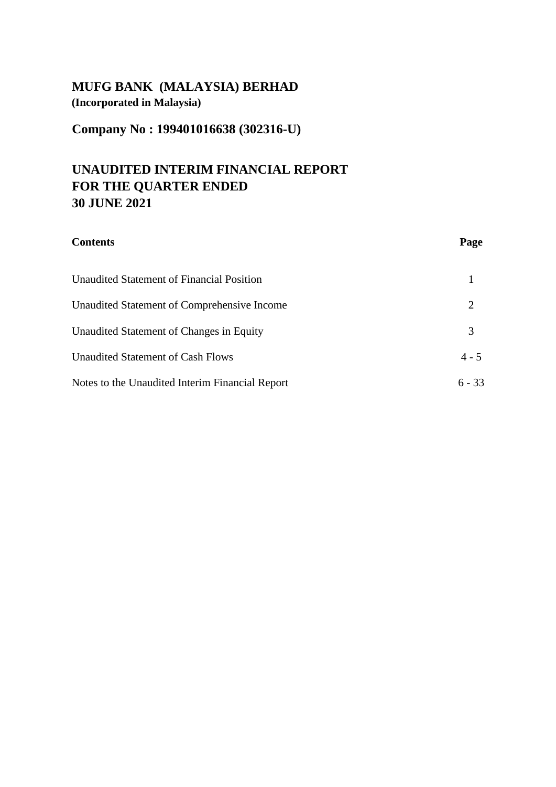# **MUFG BANK (MALAYSIA) BERHAD (Incorporated in Malaysia)**

**Company No : 199401016638 (302316-U)**

# **UNAUDITED INTERIM FINANCIAL REPORT FOR THE QUARTER ENDED 30 JUNE 2021**

| <b>Contents</b>                                 | Page     |
|-------------------------------------------------|----------|
| Unaudited Statement of Financial Position       |          |
| Unaudited Statement of Comprehensive Income     | 2        |
| Unaudited Statement of Changes in Equity        | 3        |
| Unaudited Statement of Cash Flows               | $4 - 5$  |
| Notes to the Unaudited Interim Financial Report | $6 - 33$ |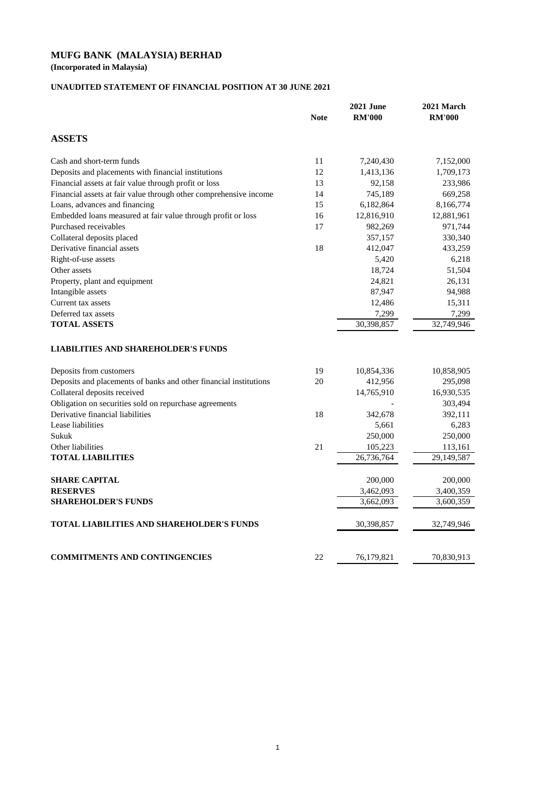**(Incorporated in Malaysia)**

# **UNAUDITED STATEMENT OF FINANCIAL POSITION AT 30 JUNE 2021**

|                                                                   | <b>Note</b> | <b>2021 June</b><br><b>RM'000</b> | 2021 March<br><b>RM'000</b> |
|-------------------------------------------------------------------|-------------|-----------------------------------|-----------------------------|
| <b>ASSETS</b>                                                     |             |                                   |                             |
| Cash and short-term funds                                         | 11          | 7,240,430                         | 7,152,000                   |
| Deposits and placements with financial institutions               | 12          | 1,413,136                         | 1,709,173                   |
| Financial assets at fair value through profit or loss             | 13          | 92,158                            | 233,986                     |
| Financial assets at fair value through other comprehensive income | 14          | 745,189                           | 669,258                     |
| Loans, advances and financing                                     | 15          | 6,182,864                         | 8,166,774                   |
| Embedded loans measured at fair value through profit or loss      | 16          | 12,816,910                        | 12,881,961                  |
| Purchased receivables                                             | 17          | 982,269                           | 971,744                     |
| Collateral deposits placed                                        |             | 357,157                           | 330,340                     |
| Derivative financial assets                                       | 18          | 412,047                           | 433,259                     |
| Right-of-use assets                                               |             | 5,420                             | 6,218                       |
| Other assets                                                      |             | 18,724                            | 51,504                      |
| Property, plant and equipment                                     |             | 24,821                            | 26,131                      |
| Intangible assets                                                 |             | 87,947                            | 94,988                      |
| Current tax assets                                                |             | 12,486                            | 15,311                      |
| Deferred tax assets                                               |             | 7,299                             | 7,299                       |
| <b>TOTAL ASSETS</b>                                               |             | 30,398,857                        | 32,749,946                  |
| <b>LIABILITIES AND SHAREHOLDER'S FUNDS</b>                        |             |                                   |                             |
| Deposits from customers                                           | 19          | 10,854,336                        | 10,858,905                  |
| Deposits and placements of banks and other financial institutions | 20          | 412,956                           | 295,098                     |
| Collateral deposits received                                      |             | 14,765,910                        | 16,930,535                  |
| Obligation on securities sold on repurchase agreements            |             |                                   | 303,494                     |
| Derivative financial liabilities                                  | 18          | 342,678                           | 392,111                     |
| Lease liabilities                                                 |             | 5,661                             | 6,283                       |
| Sukuk                                                             |             | 250,000                           | 250,000                     |
| Other liabilities                                                 | 21          | 105,223                           | 113,161                     |
| <b>TOTAL LIABILITIES</b>                                          |             | 26,736,764                        | 29,149,587                  |
| <b>SHARE CAPITAL</b>                                              |             | 200,000                           | 200,000                     |
| <b>RESERVES</b>                                                   |             | 3,462,093                         | 3,400,359                   |
| <b>SHAREHOLDER'S FUNDS</b>                                        |             | 3,662,093                         | 3,600,359                   |
| <b>TOTAL LIABILITIES AND SHAREHOLDER'S FUNDS</b>                  |             | 30,398,857                        | 32,749,946                  |
| <b>COMMITMENTS AND CONTINGENCIES</b>                              | 22          | 76,179,821                        | 70,830,913                  |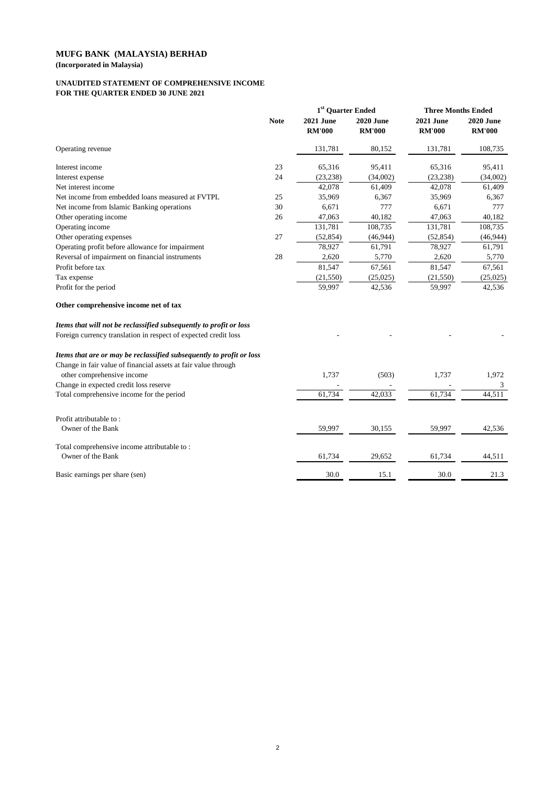**(Incorporated in Malaysia)**

# **UNAUDITED STATEMENT OF COMPREHENSIVE INCOME FOR THE QUARTER ENDED 30 JUNE 2021**

|                                                                      |             | 1 <sup>st</sup> Quarter Ended     |                                   | <b>Three Months Ended</b>         |                                   |
|----------------------------------------------------------------------|-------------|-----------------------------------|-----------------------------------|-----------------------------------|-----------------------------------|
|                                                                      | <b>Note</b> | <b>2021 June</b><br><b>RM'000</b> | <b>2020 June</b><br><b>RM'000</b> | <b>2021 June</b><br><b>RM'000</b> | <b>2020 June</b><br><b>RM'000</b> |
| Operating revenue                                                    |             | 131,781                           | 80,152                            | 131,781                           | 108,735                           |
| Interest income                                                      | 23          | 65,316                            | 95,411                            | 65,316                            | 95,411                            |
| Interest expense                                                     | 24          | (23, 238)                         | (34,002)                          | (23, 238)                         | (34,002)                          |
| Net interest income                                                  |             | 42,078                            | 61,409                            | 42,078                            | 61,409                            |
| Net income from embedded loans measured at FVTPL                     | 25          | 35,969                            | 6,367                             | 35,969                            | 6,367                             |
| Net income from Islamic Banking operations                           | 30          | 6,671                             | 777                               | 6,671                             | 777                               |
| Other operating income                                               | 26          | 47,063                            | 40,182                            | 47,063                            | 40,182                            |
| Operating income                                                     |             | 131,781                           | 108,735                           | 131,781                           | 108,735                           |
| Other operating expenses                                             | 27          | (52, 854)                         | (46, 944)                         | (52, 854)                         | (46, 944)                         |
| Operating profit before allowance for impairment                     |             | 78,927                            | 61,791                            | 78,927                            | 61,791                            |
| Reversal of impairment on financial instruments                      | 28          | 2,620                             | 5,770                             | 2,620                             | 5,770                             |
| Profit before tax                                                    |             | 81,547                            | 67,561                            | 81,547                            | 67,561                            |
| Tax expense                                                          |             | (21, 550)                         | (25,025)                          | (21, 550)                         | (25,025)                          |
| Profit for the period                                                |             | 59,997                            | 42,536                            | 59,997                            | 42,536                            |
| Other comprehensive income net of tax                                |             |                                   |                                   |                                   |                                   |
| Items that will not be reclassified subsequently to profit or loss   |             |                                   |                                   |                                   |                                   |
| Foreign currency translation in respect of expected credit loss      |             |                                   |                                   |                                   |                                   |
| Items that are or may be reclassified subsequently to profit or loss |             |                                   |                                   |                                   |                                   |
| Change in fair value of financial assets at fair value through       |             |                                   |                                   |                                   |                                   |
| other comprehensive income                                           |             | 1,737                             | (503)                             | 1,737                             | 1,972                             |
| Change in expected credit loss reserve                               |             |                                   |                                   |                                   | 3                                 |
| Total comprehensive income for the period                            |             | 61,734                            | 42,033                            | 61,734                            | 44,511                            |
| Profit attributable to:                                              |             |                                   |                                   |                                   |                                   |
| Owner of the Bank                                                    |             | 59,997                            | 30,155                            | 59,997                            | 42,536                            |
| Total comprehensive income attributable to:                          |             |                                   |                                   |                                   |                                   |
| Owner of the Bank                                                    |             | 61,734                            | 29,652                            | 61,734                            | 44,511                            |
| Basic earnings per share (sen)                                       |             | 30.0                              | 15.1                              | 30.0                              | 21.3                              |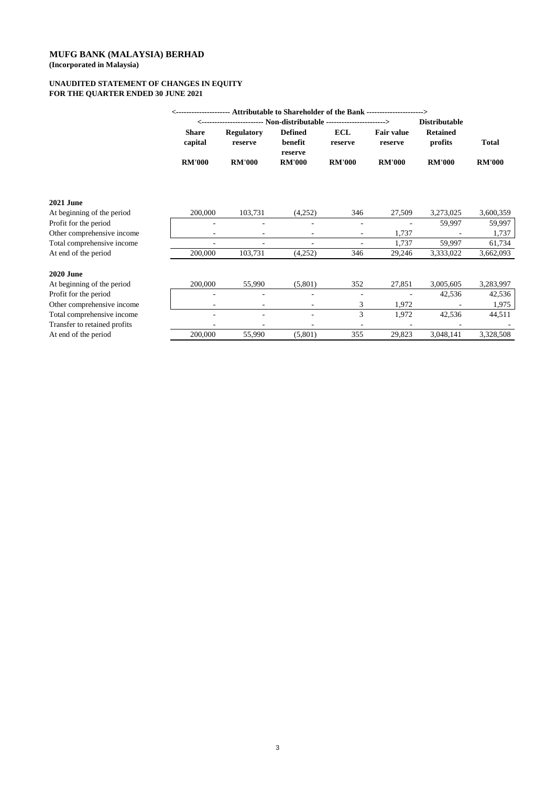**(Incorporated in Malaysia)**

# **UNAUDITED STATEMENT OF CHANGES IN EQUITY FOR THE QUARTER ENDED 30 JUNE 2021**

|                              | <---------------------- Attributable to Shareholder of the Bank ----------------------> |                              |                                      |                          |                              |                            |               |
|------------------------------|-----------------------------------------------------------------------------------------|------------------------------|--------------------------------------|--------------------------|------------------------------|----------------------------|---------------|
|                              |                                                                                         |                              |                                      |                          |                              | <b>Distributable</b>       |               |
|                              | <b>Share</b><br>capital                                                                 | <b>Regulatory</b><br>reserve | <b>Defined</b><br>benefit<br>reserve | <b>ECL</b><br>reserve    | <b>Fair value</b><br>reserve | <b>Retained</b><br>profits | <b>Total</b>  |
|                              | <b>RM'000</b>                                                                           | <b>RM'000</b>                | <b>RM'000</b>                        | <b>RM'000</b>            | <b>RM'000</b>                | <b>RM'000</b>              | <b>RM'000</b> |
| <b>2021 June</b>             |                                                                                         |                              |                                      |                          |                              |                            |               |
| At beginning of the period   | 200,000                                                                                 | 103,731                      | (4,252)                              | 346                      | 27,509                       | 3,273,025                  | 3,600,359     |
| Profit for the period        |                                                                                         |                              |                                      | $\overline{a}$           |                              | 59,997                     | 59,997        |
| Other comprehensive income   |                                                                                         |                              |                                      | $\overline{\phantom{0}}$ | 1,737                        |                            | 1,737         |
| Total comprehensive income   |                                                                                         |                              |                                      | $\overline{\phantom{0}}$ | 1,737                        | 59,997                     | 61,734        |
| At end of the period         | 200,000                                                                                 | 103,731                      | (4,252)                              | 346                      | 29,246                       | 3,333,022                  | 3,662,093     |
| <b>2020 June</b>             |                                                                                         |                              |                                      |                          |                              |                            |               |
| At beginning of the period   | 200,000                                                                                 | 55,990                       | (5,801)                              | 352                      | 27,851                       | 3,005,605                  | 3,283,997     |
| Profit for the period        |                                                                                         |                              | $\overline{\phantom{a}}$             | $\overline{\phantom{a}}$ |                              | 42,536                     | 42,536        |
| Other comprehensive income   |                                                                                         |                              | $\overline{\phantom{a}}$             | 3                        | 1,972                        |                            | 1,975         |
| Total comprehensive income   |                                                                                         |                              |                                      | 3                        | 1,972                        | 42,536                     | 44,511        |
| Transfer to retained profits |                                                                                         |                              |                                      |                          |                              |                            |               |
| At end of the period         | 200,000                                                                                 | 55,990                       | (5,801)                              | 355                      | 29,823                       | 3,048,141                  | 3,328,508     |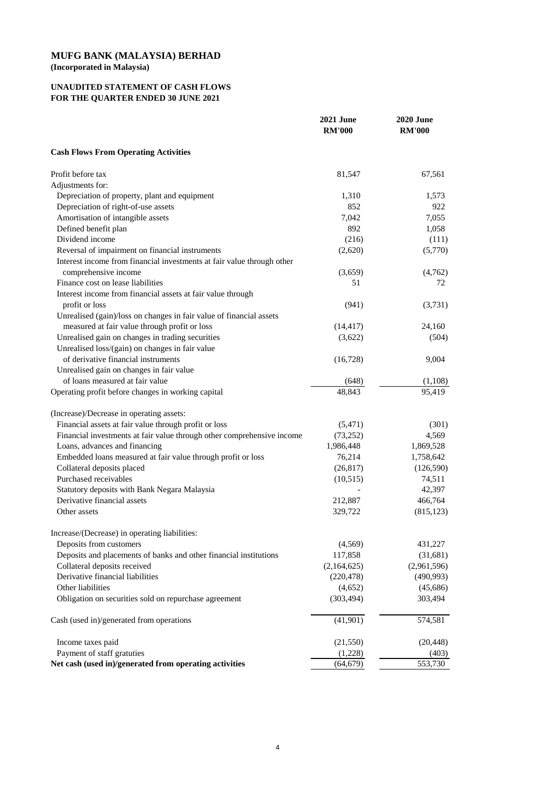**(Incorporated in Malaysia)**

# **UNAUDITED STATEMENT OF CASH FLOWS FOR THE QUARTER ENDED 30 JUNE 2021**

|                                                                        | <b>2021 June</b><br><b>RM'000</b> | <b>2020 June</b><br><b>RM'000</b> |
|------------------------------------------------------------------------|-----------------------------------|-----------------------------------|
| <b>Cash Flows From Operating Activities</b>                            |                                   |                                   |
| Profit before tax                                                      | 81,547                            | 67,561                            |
| Adjustments for:                                                       |                                   |                                   |
| Depreciation of property, plant and equipment                          | 1,310                             | 1,573                             |
| Depreciation of right-of-use assets                                    | 852                               | 922                               |
| Amortisation of intangible assets                                      | 7,042                             | 7,055                             |
| Defined benefit plan                                                   | 892                               | 1,058                             |
| Dividend income                                                        | (216)                             | (111)                             |
| Reversal of impairment on financial instruments                        | (2,620)                           | (5,770)                           |
| Interest income from financial investments at fair value through other |                                   |                                   |
| comprehensive income                                                   | (3,659)                           | (4,762)                           |
| Finance cost on lease liabilities                                      | 51                                | 72                                |
| Interest income from financial assets at fair value through            |                                   |                                   |
| profit or loss                                                         | (941)                             | (3,731)                           |
| Unrealised (gain)/loss on changes in fair value of financial assets    |                                   |                                   |
| measured at fair value through profit or loss                          | (14, 417)                         | 24,160                            |
| Unrealised gain on changes in trading securities                       | (3,622)                           | (504)                             |
| Unrealised loss/(gain) on changes in fair value                        |                                   |                                   |
| of derivative financial instruments                                    | (16,728)                          | 9,004                             |
| Unrealised gain on changes in fair value                               |                                   |                                   |
| of loans measured at fair value                                        | (648)                             | (1,108)                           |
| Operating profit before changes in working capital                     | 48,843                            | 95,419                            |
| (Increase)/Decrease in operating assets:                               |                                   |                                   |
| Financial assets at fair value through profit or loss                  | (5,471)                           | (301)                             |
| Financial investments at fair value through other comprehensive income | (73, 252)                         | 4,569                             |
| Loans, advances and financing                                          | 1,986,448                         | 1,869,528                         |
| Embedded loans measured at fair value through profit or loss           | 76,214                            | 1,758,642                         |
| Collateral deposits placed                                             | (26, 817)                         | (126,590)                         |
| Purchased receivables                                                  | (10,515)                          | 74,511                            |
| Statutory deposits with Bank Negara Malaysia                           |                                   | 42,397                            |
| Derivative financial assets                                            | 212,887                           | 466,764                           |
| Other assets                                                           | 329,722                           | (815, 123)                        |
| Increase/(Decrease) in operating liabilities:                          |                                   |                                   |
| Deposits from customers                                                | (4,569)                           | 431,227                           |
| Deposits and placements of banks and other financial institutions      | 117,858                           | (31,681)                          |
| Collateral deposits received                                           | (2,164,625)                       | (2,961,596)                       |
| Derivative financial liabilities                                       | (220, 478)                        | (490, 993)                        |
| Other liabilities                                                      | (4,652)                           | (45,686)                          |
| Obligation on securities sold on repurchase agreement                  | (303, 494)                        | 303,494                           |
| Cash (used in)/generated from operations                               | (41,901)                          | 574,581                           |
| Income taxes paid                                                      | (21, 550)                         | (20, 448)                         |
| Payment of staff gratuties                                             | (1,228)                           | (403)                             |
| Net cash (used in)/generated from operating activities                 | (64, 679)                         | 553,730                           |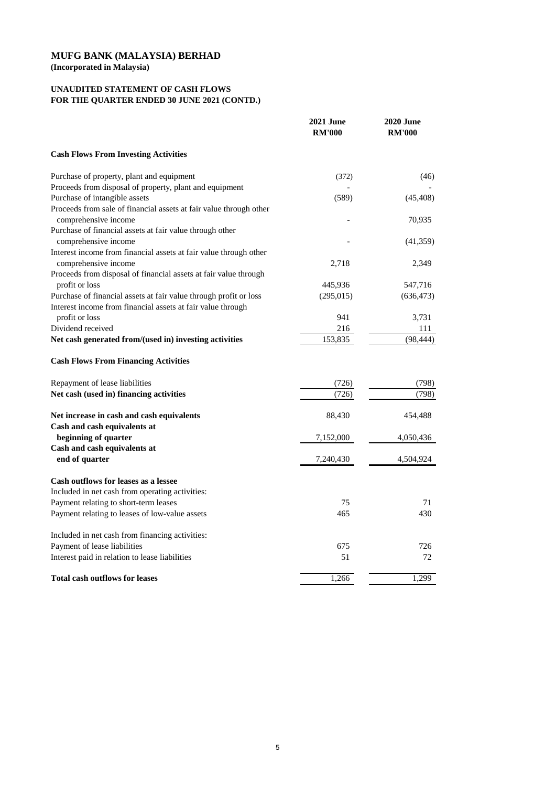**(Incorporated in Malaysia)**

# **UNAUDITED STATEMENT OF CASH FLOWS FOR THE QUARTER ENDED 30 JUNE 2021 (CONTD.)**

|                                                                                  | <b>2021 June</b><br><b>RM'000</b> | <b>2020 June</b><br><b>RM'000</b> |
|----------------------------------------------------------------------------------|-----------------------------------|-----------------------------------|
| <b>Cash Flows From Investing Activities</b>                                      |                                   |                                   |
| Purchase of property, plant and equipment                                        | (372)                             | (46)                              |
| Proceeds from disposal of property, plant and equipment                          |                                   |                                   |
| Purchase of intangible assets                                                    | (589)                             | (45, 408)                         |
| Proceeds from sale of financial assets at fair value through other               |                                   |                                   |
| comprehensive income                                                             |                                   | 70,935                            |
| Purchase of financial assets at fair value through other<br>comprehensive income |                                   | (41,359)                          |
| Interest income from financial assets at fair value through other                |                                   |                                   |
| comprehensive income                                                             | 2,718                             | 2,349                             |
| Proceeds from disposal of financial assets at fair value through                 |                                   |                                   |
| profit or loss                                                                   | 445,936                           | 547,716                           |
| Purchase of financial assets at fair value through profit or loss                | (295, 015)                        | (636, 473)                        |
| Interest income from financial assets at fair value through                      |                                   |                                   |
| profit or loss                                                                   | 941                               | 3,731                             |
| Dividend received                                                                | 216                               | 111                               |
| Net cash generated from/(used in) investing activities                           | 153,835                           | (98, 444)                         |
| <b>Cash Flows From Financing Activities</b>                                      |                                   |                                   |
| Repayment of lease liabilities                                                   | (726)                             | (798)                             |
| Net cash (used in) financing activities                                          | (726)                             | (798)                             |
| Net increase in cash and cash equivalents                                        | 88,430                            | 454,488                           |
| Cash and cash equivalents at                                                     |                                   |                                   |
| beginning of quarter                                                             | 7,152,000                         | 4,050,436                         |
| Cash and cash equivalents at                                                     |                                   |                                   |
| end of quarter                                                                   | 7,240,430                         | 4,504,924                         |
| Cash outflows for leases as a lessee                                             |                                   |                                   |
| Included in net cash from operating activities:                                  |                                   |                                   |
| Payment relating to short-term leases                                            | 75                                | 71                                |
| Payment relating to leases of low-value assets                                   | 465                               | 430                               |
| Included in net cash from financing activities:                                  |                                   |                                   |
| Payment of lease liabilities                                                     | 675                               | 726                               |
| Interest paid in relation to lease liabilities                                   | 51                                | 72                                |
| <b>Total cash outflows for leases</b>                                            | 1,266                             | 1,299                             |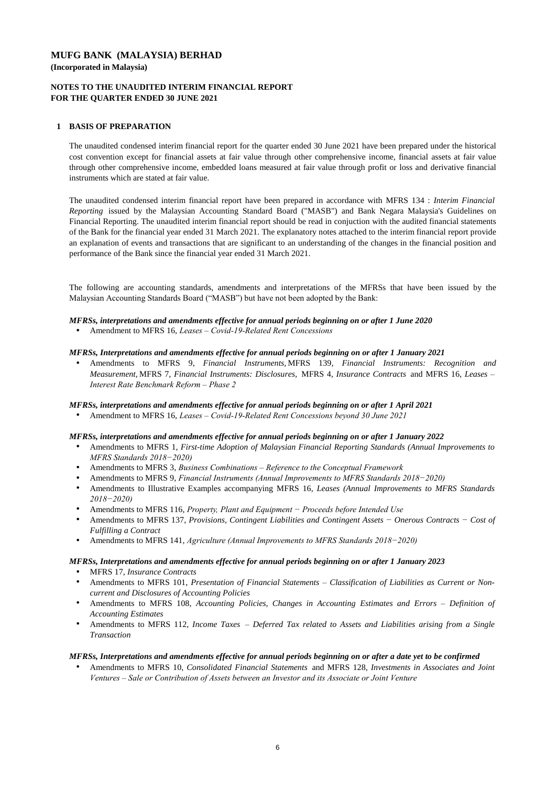### **MUFG BANK (MALAYSIA) BERHAD (Incorporated in Malaysia)**

#### **NOTES TO THE UNAUDITED INTERIM FINANCIAL REPORT FOR THE QUARTER ENDED 30 JUNE 2021**

#### **1 BASIS OF PREPARATION**

The unaudited condensed interim financial report for the quarter ended 30 June 2021 have been prepared under the historical cost convention except for financial assets at fair value through other comprehensive income, financial assets at fair value through other comprehensive income, embedded loans measured at fair value through profit or loss and derivative financial instruments which are stated at fair value.

The unaudited condensed interim financial report have been prepared in accordance with MFRS 134 : *Interim Financial Reporting* issued by the Malaysian Accounting Standard Board ("MASB") and Bank Negara Malaysia's Guidelines on Financial Reporting. The unaudited interim financial report should be read in conjuction with the audited financial statements of the Bank for the financial year ended 31 March 2021. The explanatory notes attached to the interim financial report provide an explanation of events and transactions that are significant to an understanding of the changes in the financial position and performance of the Bank since the financial year ended 31 March 2021.

The following are accounting standards, amendments and interpretations of the MFRSs that have been issued by the Malaysian Accounting Standards Board ("MASB") but have not been adopted by the Bank:

#### *MFRSs, interpretations and amendments effective for annual periods beginning on or after 1 June 2020*

Amendment to MFRS 16, *Leases – Covid-19-Related Rent Concessions*

### *MFRSs, Interpretations and amendments effective for annual periods beginning on or after 1 January 2021*

 $\bullet$ Amendments to MFRS 9, *Financial Instruments,* MFRS 139, *Financial Instruments: Recognition and Measurement,* MFRS 7, *Financial Instruments: Disclosures,* MFRS 4, *Insurance Contracts* and MFRS 16, *Leases – Interest Rate Benchmark Reform – Phase 2*

#### *MFRSs, interpretations and amendments effective for annual periods beginning on or after 1 April 2021*

Amendment to MFRS 16, *Leases – Covid-19-Related Rent Concessions beyond 30 June 2021*

#### *MFRSs, interpretations and amendments effective for annual periods beginning on or after 1 January 2022*

- Amendments to MFRS 1, *First-time Adoption of Malaysian Financial Reporting Standards (Annual Improvements to MFRS Standards 2018−2020)*
- Amendments to MFRS 3, *Business Combinations Reference to the Conceptual Framework*
- Amendments to MFRS 9, *Financial Instruments (Annual Improvements to MFRS Standards 2018−2020)*
- $\bullet$ Amendments to Illustrative Examples accompanying MFRS 16, *Leases (Annual Improvements to MFRS Standards 2018−2020)*
- Amendments to MFRS 116, *Property, Plant and Equipment − Proceeds before Intended Use*
- Amendments to MFRS 137, *Provisions, Contingent Liabilities and Contingent Assets − Onerous Contracts − Cost of Fulfilling a Contract*
- Amendments to MFRS 141, *Agriculture (Annual Improvements to MFRS Standards 2018−2020)*

#### *MFRSs, Interpretations and amendments effective for annual periods beginning on or after 1 January 2023*

- MFRS 17, *Insurance Contracts*
- Amendments to MFRS 101, *Presentation of Financial Statements – Classification of Liabilities as Current or Noncurrent and Disclosures of Accounting Policies*
- $\bullet$ Amendments to MFRS 108, *Accounting Policies, Changes in Accounting Estimates and Errors – Definition of Accounting Estimates*
- $\bullet$ Amendments to MFRS 112, *Income Taxes* – *Deferred Tax related to Assets and Liabilities arising from a Single Transaction*

#### *MFRSs, Interpretations and amendments effective for annual periods beginning on or after a date yet to be confirmed*

 $\bullet$ Amendments to MFRS 10, *Consolidated Financial Statements* and MFRS 128, *Investments in Associates and Joint Ventures – Sale or Contribution of Assets between an Investor and its Associate or Joint Venture*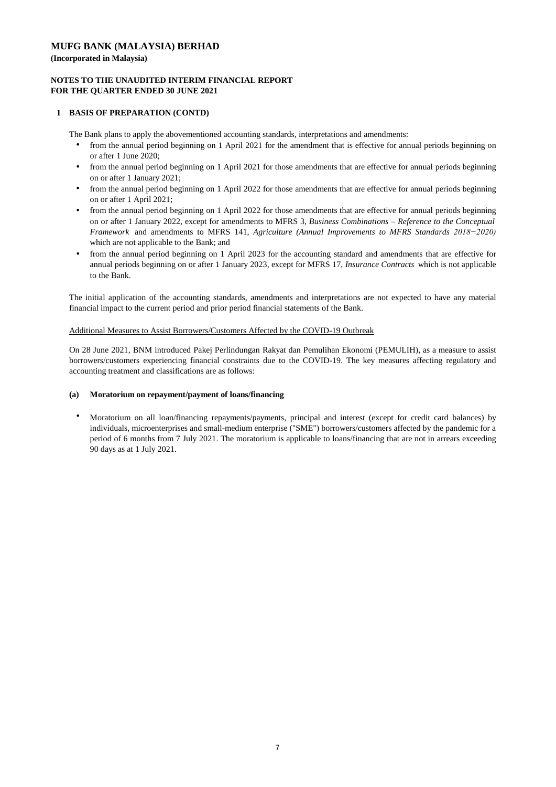# **NOTES TO THE UNAUDITED INTERIM FINANCIAL REPORT FOR THE QUARTER ENDED 30 JUNE 2021**

### **1 BASIS OF PREPARATION (CONTD)**

The Bank plans to apply the abovementioned accounting standards, interpretations and amendments:

- from the annual period beginning on 1 April 2021 for the amendment that is effective for annual periods beginning on or after 1 June 2020;
- from the annual period beginning on 1 April 2021 for those amendments that are effective for annual periods beginning on or after 1 January 2021;
- from the annual period beginning on 1 April 2022 for those amendments that are effective for annual periods beginning on or after 1 April 2021;
- $\bullet$ from the annual period beginning on 1 April 2022 for those amendments that are effective for annual periods beginning on or after 1 January 2022, except for amendments to MFRS 3, *Business Combinations – Reference to the Conceptual Framework* and amendments to MFRS 141, *Agriculture (Annual Improvements to MFRS Standards 2018−2020)* which are not applicable to the Bank; and
- $\bullet$ from the annual period beginning on 1 April 2023 for the accounting standard and amendments that are effective for annual periods beginning on or after 1 January 2023, except for MFRS 17, *Insurance Contracts* which is not applicable to the Bank.

The initial application of the accounting standards, amendments and interpretations are not expected to have any material financial impact to the current period and prior period financial statements of the Bank.

#### Additional Measures to Assist Borrowers/Customers Affected by the COVID-19 Outbreak

On 28 June 2021, BNM introduced Pakej Perlindungan Rakyat dan Pemulihan Ekonomi (PEMULIH), as a measure to assist borrowers/customers experiencing financial constraints due to the COVID-19. The key measures affecting regulatory and accounting treatment and classifications are as follows:

#### **(a) Moratorium on repayment/payment of loans/financing**

 $\bullet$ Moratorium on all loan/financing repayments/payments, principal and interest (except for credit card balances) by individuals, microenterprises and small-medium enterprise ("SME") borrowers/customers affected by the pandemic for a period of 6 months from 7 July 2021. The moratorium is applicable to loans/financing that are not in arrears exceeding 90 days as at 1 July 2021.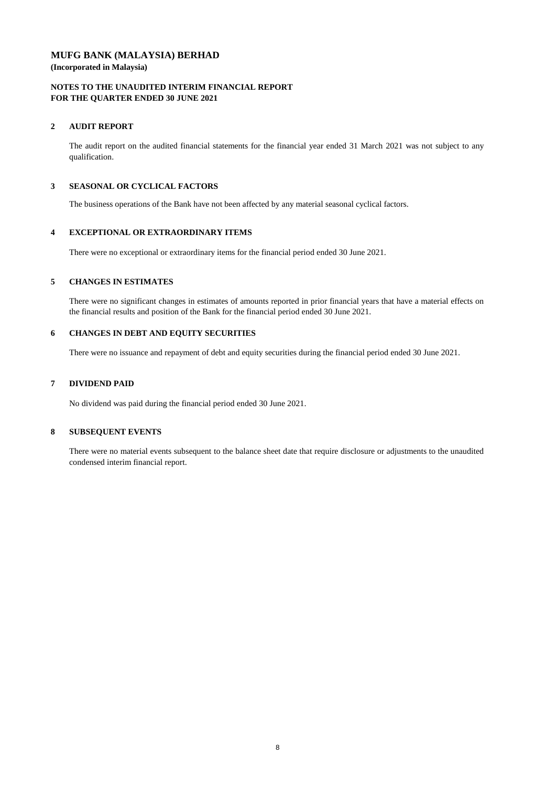## **MUFG BANK (MALAYSIA) BERHAD (Incorporated in Malaysia)**

#### **NOTES TO THE UNAUDITED INTERIM FINANCIAL REPORT FOR THE QUARTER ENDED 30 JUNE 2021**

### **2 AUDIT REPORT**

The audit report on the audited financial statements for the financial year ended 31 March 2021 was not subject to any qualification.

# **3 SEASONAL OR CYCLICAL FACTORS**

The business operations of the Bank have not been affected by any material seasonal cyclical factors.

### **4 EXCEPTIONAL OR EXTRAORDINARY ITEMS**

There were no exceptional or extraordinary items for the financial period ended 30 June 2021.

#### **5 CHANGES IN ESTIMATES**

There were no significant changes in estimates of amounts reported in prior financial years that have a material effects on the financial results and position of the Bank for the financial period ended 30 June 2021.

### **6 CHANGES IN DEBT AND EQUITY SECURITIES**

There were no issuance and repayment of debt and equity securities during the financial period ended 30 June 2021.

### **7 DIVIDEND PAID**

No dividend was paid during the financial period ended 30 June 2021.

#### **8 SUBSEQUENT EVENTS**

There were no material events subsequent to the balance sheet date that require disclosure or adjustments to the unaudited condensed interim financial report.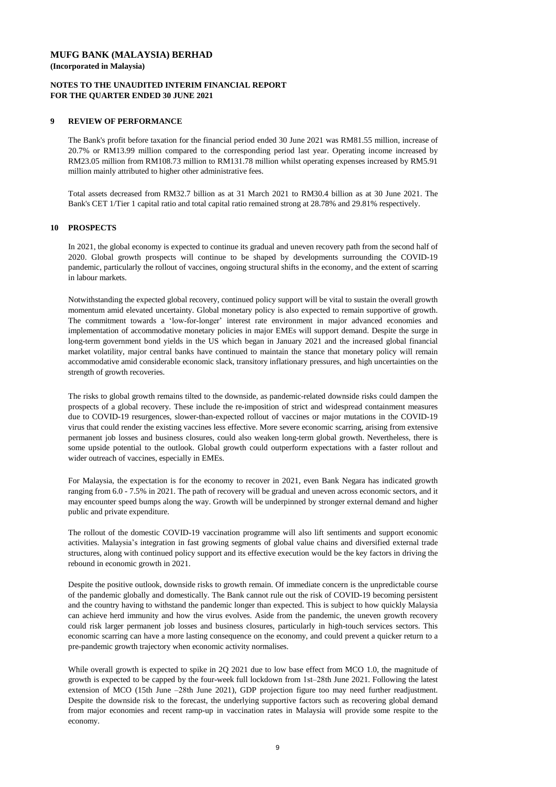**(Incorporated in Malaysia)**

#### **NOTES TO THE UNAUDITED INTERIM FINANCIAL REPORT FOR THE QUARTER ENDED 30 JUNE 2021**

#### **9 REVIEW OF PERFORMANCE**

#### **10 PROSPECTS**

The Bank's profit before taxation for the financial period ended 30 June 2021 was RM81.55 million, increase of 20.7% or RM13.99 million compared to the corresponding period last year. Operating income increased by RM23.05 million from RM108.73 million to RM131.78 million whilst operating expenses increased by RM5.91 million mainly attributed to higher other administrative fees.

In 2021, the global economy is expected to continue its gradual and uneven recovery path from the second half of 2020. Global growth prospects will continue to be shaped by developments surrounding the COVID-19 pandemic, particularly the rollout of vaccines, ongoing structural shifts in the economy, and the extent of scarring in labour markets.

Notwithstanding the expected global recovery, continued policy support will be vital to sustain the overall growth momentum amid elevated uncertainty. Global monetary policy is also expected to remain supportive of growth. The commitment towards a 'low-for-longer' interest rate environment in major advanced economies and implementation of accommodative monetary policies in major EMEs will support demand. Despite the surge in long-term government bond yields in the US which began in January 2021 and the increased global financial market volatility, major central banks have continued to maintain the stance that monetary policy will remain accommodative amid considerable economic slack, transitory inflationary pressures, and high uncertainties on the strength of growth recoveries.

While overall growth is expected to spike in 2Q 2021 due to low base effect from MCO 1.0, the magnitude of growth is expected to be capped by the four-week full lockdown from 1st–28th June 2021. Following the latest extension of MCO (15th June –28th June 2021), GDP projection figure too may need further readjustment. Despite the downside risk to the forecast, the underlying supportive factors such as recovering global demand from major economies and recent ramp-up in vaccination rates in Malaysia will provide some respite to the economy.

Despite the positive outlook, downside risks to growth remain. Of immediate concern is the unpredictable course of the pandemic globally and domestically. The Bank cannot rule out the risk of COVID-19 becoming persistent and the country having to withstand the pandemic longer than expected. This is subject to how quickly Malaysia can achieve herd immunity and how the virus evolves. Aside from the pandemic, the uneven growth recovery could risk larger permanent job losses and business closures, particularly in high-touch services sectors. This economic scarring can have a more lasting consequence on the economy, and could prevent a quicker return to a pre-pandemic growth trajectory when economic activity normalises.

The rollout of the domestic COVID-19 vaccination programme will also lift sentiments and support economic activities. Malaysia's integration in fast growing segments of global value chains and diversified external trade structures, along with continued policy support and its effective execution would be the key factors in driving the rebound in economic growth in 2021.

For Malaysia, the expectation is for the economy to recover in 2021, even Bank Negara has indicated growth ranging from 6.0 - 7.5% in 2021. The path of recovery will be gradual and uneven across economic sectors, and it may encounter speed bumps along the way. Growth will be underpinned by stronger external demand and higher public and private expenditure.

The risks to global growth remains tilted to the downside, as pandemic-related downside risks could dampen the prospects of a global recovery. These include the re-imposition of strict and widespread containment measures due to COVID-19 resurgences, slower-than-expected rollout of vaccines or major mutations in the COVID-19 virus that could render the existing vaccines less effective. More severe economic scarring, arising from extensive permanent job losses and business closures, could also weaken long-term global growth. Nevertheless, there is some upside potential to the outlook. Global growth could outperform expectations with a faster rollout and wider outreach of vaccines, especially in EMEs.

Total assets decreased from RM32.7 billion as at 31 March 2021 to RM30.4 billion as at 30 June 2021. The Bank's CET 1/Tier 1 capital ratio and total capital ratio remained strong at 28.78% and 29.81% respectively.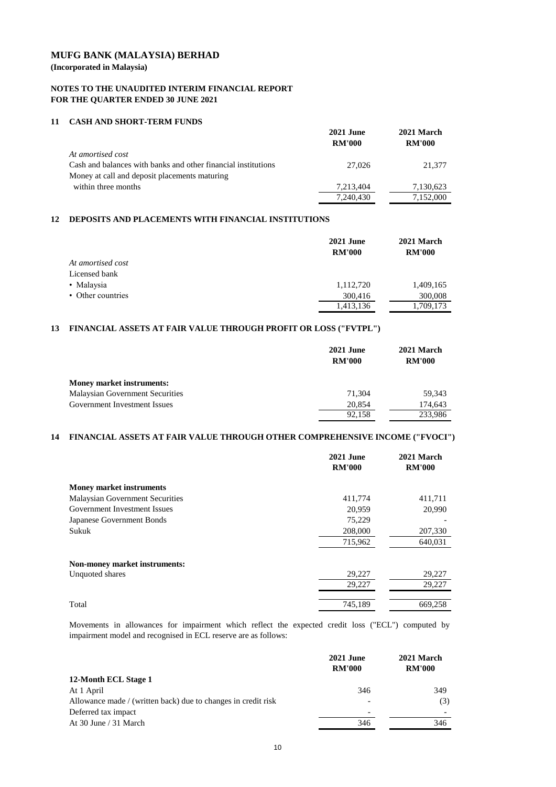**(Incorporated in Malaysia)**

#### **NOTES TO THE UNAUDITED INTERIM FINANCIAL REPORT FOR THE QUARTER ENDED 30 JUNE 2021**

#### **11 CASH AND SHORT-TERM FUNDS**

|                                                               | <b>2021 June</b><br><b>RM'000</b> | 2021 March<br><b>RM'000</b> |
|---------------------------------------------------------------|-----------------------------------|-----------------------------|
| At amortised cost                                             |                                   |                             |
| Cash and balances with banks and other financial institutions | 27,026                            | 21,377                      |
| Money at call and deposit placements maturing                 |                                   |                             |
| within three months                                           | 7,213,404                         | 7,130,623                   |
|                                                               | 7,240,430                         | 7,152,000                   |

#### **12 DEPOSITS AND PLACEMENTS WITH FINANCIAL INSTITUTIONS**

|                   | <b>2021 June</b><br><b>RM'000</b> | 2021 March<br><b>RM'000</b> |
|-------------------|-----------------------------------|-----------------------------|
| At amortised cost |                                   |                             |
| Licensed bank     |                                   |                             |
| • Malaysia        | 1,112,720                         | 1,409,165                   |
| • Other countries | 300,416                           | 300,008                     |
|                   | 1,413,136                         | 1,709,173                   |

# **13 FINANCIAL ASSETS AT FAIR VALUE THROUGH PROFIT OR LOSS ("FVTPL")**

|                                        | <b>2021 June</b> | 2021 March    |
|----------------------------------------|------------------|---------------|
|                                        | <b>RM'000</b>    | <b>RM'000</b> |
| Money market instruments:              |                  |               |
| <b>Malaysian Government Securities</b> | 71,304           | 59,343        |
| Government Investment Issues           | 20,854           | 174,643       |
|                                        | 92,158           | 233,986       |

### **14 FINANCIAL ASSETS AT FAIR VALUE THROUGH OTHER COMPREHENSIVE INCOME ("FVOCI")**

|                                        | <b>2021 June</b><br><b>RM'000</b> | 2021 March<br><b>RM'000</b> |
|----------------------------------------|-----------------------------------|-----------------------------|
| <b>Money market instruments</b>        |                                   |                             |
| <b>Malaysian Government Securities</b> | 411,774                           | 411,711                     |
| <b>Government Investment Issues</b>    | 20,959                            | 20,990                      |
| Japanese Government Bonds              | 75,229                            |                             |
| Sukuk                                  | 208,000                           | 207,330                     |
|                                        | 715,962                           | 640,031                     |
| Non-money market instruments:          |                                   |                             |
| Unquoted shares                        | 29,227                            | 29,227                      |
|                                        | 29,227                            | 29,227                      |
| Total                                  | 745,189                           | 669,258                     |

Movements in allowances for impairment which reflect the expected credit loss ("ECL") computed by impairment model and recognised in ECL reserve are as follows:

|                                                               | <b>2021 June</b>             | 2021 March    |  |
|---------------------------------------------------------------|------------------------------|---------------|--|
|                                                               | <b>RM'000</b>                | <b>RM'000</b> |  |
| 12-Month ECL Stage 1                                          |                              |               |  |
| At 1 April                                                    | 346                          | 349           |  |
| Allowance made / (written back) due to changes in credit risk | $\overline{\phantom{a}}$     | (3)           |  |
| Deferred tax impact                                           | $\qquad \qquad \blacksquare$ |               |  |
| At 30 June / 31 March                                         | 346                          | 346           |  |
|                                                               |                              |               |  |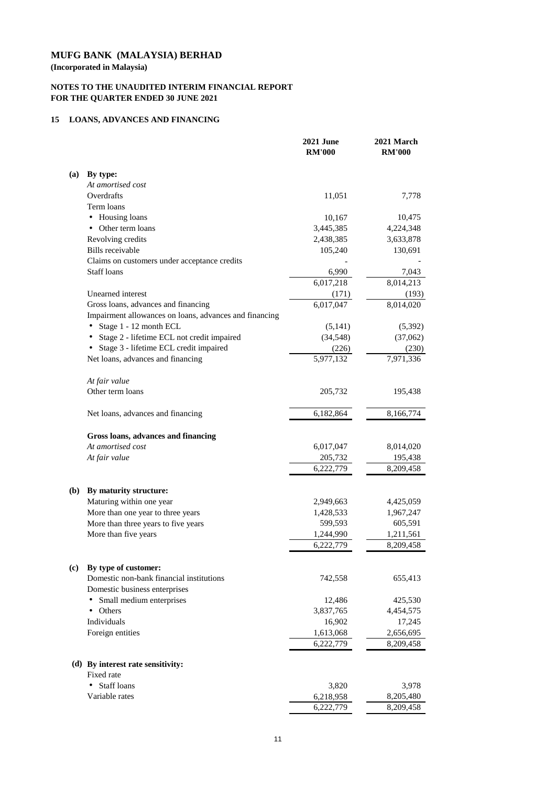**(Incorporated in Malaysia)**

# **NOTES TO THE UNAUDITED INTERIM FINANCIAL REPORT FOR THE QUARTER ENDED 30 JUNE 2021**

# **15 LOANS, ADVANCES AND FINANCING**

|            |                                                                    | <b>2021 June</b><br><b>RM'000</b> | 2021 March<br><b>RM'000</b> |
|------------|--------------------------------------------------------------------|-----------------------------------|-----------------------------|
| (a)        | By type:                                                           |                                   |                             |
|            | At amortised cost                                                  |                                   |                             |
|            | Overdrafts                                                         | 11,051                            | 7,778                       |
|            | Term loans                                                         |                                   |                             |
|            | Housing loans                                                      | 10,167                            | 10,475                      |
|            | Other term loans                                                   | 3,445,385                         | 4,224,348                   |
|            | Revolving credits                                                  | 2,438,385                         | 3,633,878                   |
|            | <b>Bills</b> receivable                                            | 105,240                           | 130,691                     |
|            | Claims on customers under acceptance credits<br><b>Staff loans</b> | 6,990                             | 7,043                       |
|            |                                                                    | 6,017,218                         | 8,014,213                   |
|            | <b>Unearned</b> interest                                           | (171)                             | (193)                       |
|            | Gross loans, advances and financing                                | 6,017,047                         | 8,014,020                   |
|            | Impairment allowances on loans, advances and financing             |                                   |                             |
|            | Stage 1 - 12 month ECL                                             | (5,141)                           | (5,392)                     |
|            | Stage 2 - lifetime ECL not credit impaired                         | (34, 548)                         | (37,062)                    |
|            | Stage 3 - lifetime ECL credit impaired                             | (226)                             | (230)                       |
|            | Net loans, advances and financing                                  | 5,977,132                         | 7,971,336                   |
|            |                                                                    |                                   |                             |
|            | At fair value<br>Other term loans                                  |                                   |                             |
|            |                                                                    | 205,732                           | 195,438                     |
|            | Net loans, advances and financing                                  | 6,182,864                         | 8,166,774                   |
|            | Gross loans, advances and financing                                |                                   |                             |
|            | At amortised cost                                                  | 6,017,047                         | 8,014,020                   |
|            | At fair value                                                      | 205,732                           | 195,438                     |
|            |                                                                    | 6,222,779                         | 8,209,458                   |
| <b>(b)</b> | By maturity structure:                                             |                                   |                             |
|            | Maturing within one year                                           | 2,949,663                         | 4,425,059                   |
|            | More than one year to three years                                  | 1,428,533                         | 1,967,247                   |
|            | More than three years to five years                                | 599,593                           | 605,591                     |
|            | More than five years                                               | 1,244,990                         | 1,211,561                   |
|            |                                                                    | 6,222,779                         | 8,209,458                   |
| (c)        | By type of customer:                                               |                                   |                             |
|            | Domestic non-bank financial institutions                           | 742,558                           | 655,413                     |
|            | Domestic business enterprises                                      |                                   |                             |
|            | Small medium enterprises                                           | 12,486                            | 425,530                     |
|            | Others                                                             | 3,837,765                         | 4,454,575                   |
|            | Individuals                                                        | 16,902                            | 17,245                      |
|            | Foreign entities                                                   | 1,613,068                         | 2,656,695                   |
|            |                                                                    | 6,222,779                         | 8,209,458                   |
|            | (d) By interest rate sensitivity:                                  |                                   |                             |
|            | Fixed rate                                                         |                                   |                             |
|            | <b>Staff loans</b>                                                 | 3,820                             | 3,978                       |
|            | Variable rates                                                     | 6,218,958                         | 8,205,480                   |
|            |                                                                    | 6,222,779                         | 8,209,458                   |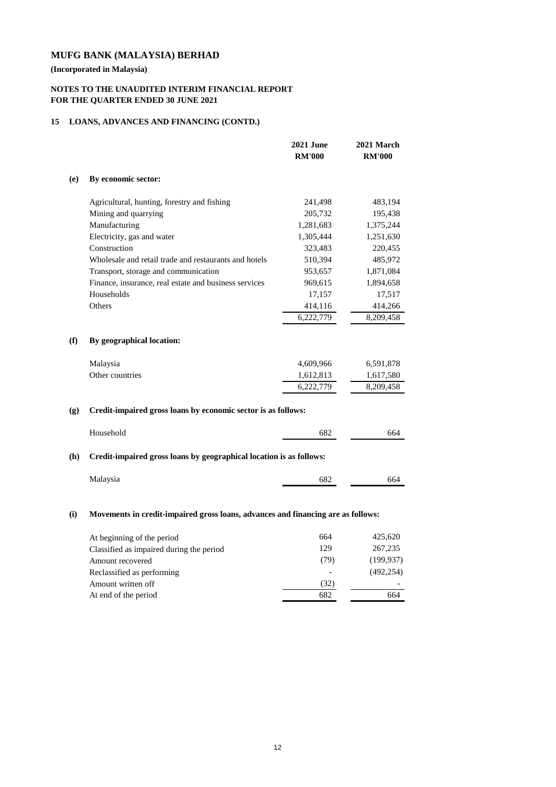**(Incorporated in Malaysia)**

# **NOTES TO THE UNAUDITED INTERIM FINANCIAL REPORT FOR THE QUARTER ENDED 30 JUNE 2021**

# **15 LOANS, ADVANCES AND FINANCING (CONTD.)**

|     |                                                                     | <b>2021 June</b><br><b>RM'000</b> | 2021 March<br><b>RM'000</b> |
|-----|---------------------------------------------------------------------|-----------------------------------|-----------------------------|
| (e) | By economic sector:                                                 |                                   |                             |
|     | Agricultural, hunting, forestry and fishing                         | 241,498                           | 483,194                     |
|     | Mining and quarrying                                                | 205,732                           | 195,438                     |
|     | Manufacturing                                                       | 1,281,683                         | 1,375,244                   |
|     | Electricity, gas and water                                          | 1,305,444                         | 1,251,630                   |
|     | Construction                                                        | 323,483                           | 220,455                     |
|     | Wholesale and retail trade and restaurants and hotels               | 510,394                           | 485,972                     |
|     | Transport, storage and communication                                | 953,657                           | 1,871,084                   |
|     | Finance, insurance, real estate and business services               | 969,615                           | 1,894,658                   |
|     | Households                                                          | 17,157                            | 17,517                      |
|     | Others                                                              | 414,116                           | 414,266                     |
|     |                                                                     | 6,222,779                         | 8,209,458                   |
| (f) | By geographical location:                                           |                                   |                             |
|     | Malaysia                                                            | 4,609,966                         | 6,591,878                   |
|     | Other countries                                                     | 1,612,813                         | 1,617,580                   |
|     |                                                                     | 6,222,779                         | 8,209,458                   |
| (g) | Credit-impaired gross loans by economic sector is as follows:       |                                   |                             |
|     | Household                                                           | 682                               | 664                         |
| (h) | Credit-impaired gross loans by geographical location is as follows: |                                   |                             |
|     | Malaysia                                                            | 682                               | 664                         |
|     |                                                                     |                                   |                             |

# **(i) Movements in credit-impaired gross loans, advances and financing are as follows:**

| At beginning of the period               | 664  | 425,620    |
|------------------------------------------|------|------------|
| Classified as impaired during the period | 129  | 267,235    |
| Amount recovered                         | (79) | (199, 937) |
| Reclassified as performing               |      | (492, 254) |
| Amount written off                       | (32) |            |
| At end of the period                     | 682  | 664        |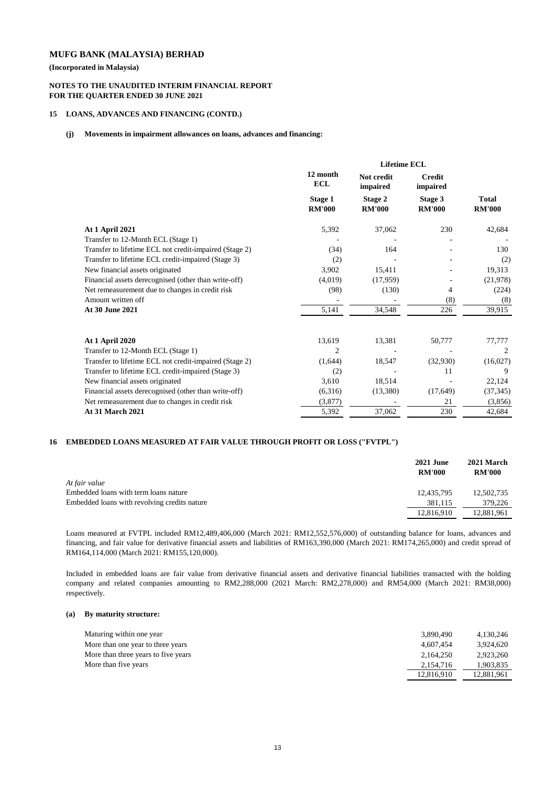#### **(Incorporated in Malaysia)**

### **NOTES TO THE UNAUDITED INTERIM FINANCIAL REPORT FOR THE QUARTER ENDED 30 JUNE 2021**

#### **15 LOANS, ADVANCES AND FINANCING (CONTD.)**

#### **(j) Movements in impairment allowances on loans, advances and financing:**

|                                                        | <b>Lifetime ECL</b>             |                                 |                                 |                               |
|--------------------------------------------------------|---------------------------------|---------------------------------|---------------------------------|-------------------------------|
|                                                        | 12 month<br><b>ECL</b>          | Not credit<br>impaired          | <b>Credit</b><br>impaired       |                               |
|                                                        | <b>Stage 1</b><br><b>RM'000</b> | <b>Stage 2</b><br><b>RM'000</b> | <b>Stage 3</b><br><b>RM'000</b> | <b>Total</b><br><b>RM'000</b> |
| <b>At 1 April 2021</b>                                 | 5,392                           | 37,062                          | 230                             | 42,684                        |
| Transfer to 12-Month ECL (Stage 1)                     |                                 |                                 |                                 |                               |
| Transfer to lifetime ECL not credit-impaired (Stage 2) | (34)                            | 164                             |                                 | 130                           |
| Transfer to lifetime ECL credit-impaired (Stage 3)     | (2)                             |                                 |                                 | (2)                           |
| New financial assets originated                        | 3,902                           | 15,411                          |                                 | 19,313                        |
| Financial assets derecognised (other than write-off)   | (4,019)                         | (17,959)                        |                                 | (21, 978)                     |
| Net remeasurement due to changes in credit risk        | (98)                            | (130)                           | 4                               | (224)                         |
| Amount written off                                     |                                 |                                 | (8)                             | (8)                           |
| At 30 June 2021                                        | 5,141                           | 34,548                          | 226                             | 39,915                        |
| <b>At 1 April 2020</b>                                 | 13,619                          | 13,381                          | 50,777                          | 77,777                        |
| Transfer to 12-Month ECL (Stage 1)                     | $\overline{2}$                  |                                 |                                 | $\overline{2}$                |
| Transfer to lifetime ECL not credit-impaired (Stage 2) | (1,644)                         | 18,547                          | (32,930)                        | (16,027)                      |
| Transfer to lifetime ECL credit-impaired (Stage 3)     | (2)                             |                                 | 11                              | 9                             |
| New financial assets originated                        | 3,610                           | 18,514                          |                                 | 22,124                        |
| Financial assets derecognised (other than write-off)   | (6,316)                         | (13,380)                        | (17, 649)                       | (37, 345)                     |
| Net remeasurement due to changes in credit risk        | (3,877)                         |                                 | 21                              | (3,856)                       |
| <b>At 31 March 2021</b>                                | 5,392                           | 37,062                          | 230                             | 42,684                        |

#### **16 EMBEDDED LOANS MEASURED AT FAIR VALUE THROUGH PROFIT OR LOSS ("FVTPL")**

|                                              | <b>2021 June</b><br><b>RM'000</b> | 2021 March<br><b>RM'000</b> |
|----------------------------------------------|-----------------------------------|-----------------------------|
| At fair value                                |                                   |                             |
| Embedded loans with term loans nature        | 12,435,795                        | 12,502,735                  |
| Embedded loans with revolving credits nature | 381,115                           | 379,226                     |
|                                              | 12,816,910                        | 12,881,961                  |

#### **(a) By maturity structure:**

| Maturing within one year            | 3,890,490 | 4,130,246 |
|-------------------------------------|-----------|-----------|
| More than one year to three years   | 4.607.454 | 3,924,620 |
| More than three years to five years | 2,164,250 | 2,923,260 |
| More than five years                | 2,154,716 | ,903,835  |

| 3,890,490  | 4,130,246  |
|------------|------------|
| 4,607,454  | 3,924,620  |
| 2,164,250  | 2,923,260  |
| 2,154,716  | 1,903,835  |
| 12,816,910 | 12,881,961 |
|            |            |

Included in embedded loans are fair value from derivative financial assets and derivative financial liabilities transacted with the holding

company and related companies amounting to RM2,288,000 (2021 March: RM2,278,000) and RM54,000 (March 2021: RM38,000) respectively.

Loans measured at FVTPL included RM12,489,406,000 (March 2021: RM12,552,576,000) of outstanding balance for loans, advances and financing, and fair value for derivative financial assets and liabilities of RM163,390,000 (March 2021: RM174,265,000) and credit spread of RM164,114,000 (March 2021: RM155,120,000).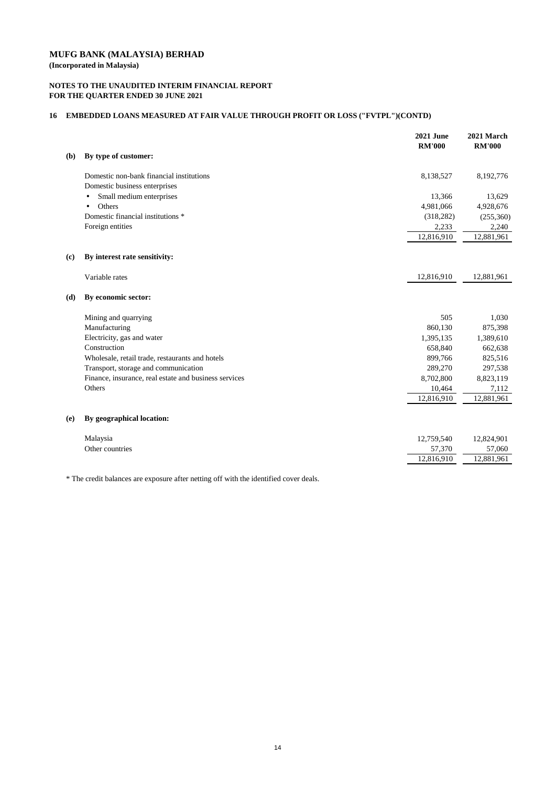**(Incorporated in Malaysia)**

# **NOTES TO THE UNAUDITED INTERIM FINANCIAL REPORT FOR THE QUARTER ENDED 30 JUNE 2021**

# **16 EMBEDDED LOANS MEASURED AT FAIR VALUE THROUGH PROFIT OR LOSS ("FVTPL")(CONTD)**

|     |                                                       | <b>2021 June</b><br><b>RM'000</b> | 2021 March<br><b>RM'000</b> |
|-----|-------------------------------------------------------|-----------------------------------|-----------------------------|
| (b) | By type of customer:                                  |                                   |                             |
|     | Domestic non-bank financial institutions              | 8,138,527                         | 8,192,776                   |
|     | Domestic business enterprises                         |                                   |                             |
|     | Small medium enterprises<br>$\bullet$                 | 13,366                            | 13,629                      |
|     | Others<br>$\bullet$                                   | 4,981,066                         | 4,928,676                   |
|     | Domestic financial institutions *                     | (318, 282)                        | (255,360)                   |
|     | Foreign entities                                      | 2,233                             | 2,240                       |
|     |                                                       | 12,816,910                        | 12,881,961                  |
| (c) | By interest rate sensitivity:                         |                                   |                             |
|     | Variable rates                                        | 12,816,910                        | 12,881,961                  |
| (d) | By economic sector:                                   |                                   |                             |
|     | Mining and quarrying                                  | 505                               | 1,030                       |
|     | Manufacturing                                         | 860,130                           | 875,398                     |
|     | Electricity, gas and water                            | 1,395,135                         | 1,389,610                   |
|     | Construction                                          | 658,840                           | 662,638                     |
|     | Wholesale, retail trade, restaurants and hotels       | 899,766                           | 825,516                     |
|     | Transport, storage and communication                  | 289,270                           | 297,538                     |
|     | Finance, insurance, real estate and business services | 8,702,800                         | 8,823,119                   |
|     | Others                                                | 10,464                            | 7,112                       |
|     |                                                       | 12,816,910                        | 12,881,961                  |
| (e) | By geographical location:                             |                                   |                             |
|     | Malaysia                                              | 12,759,540                        | 12,824,901                  |
|     | Other countries                                       | 57,370                            | 57,060                      |
|     |                                                       | 12,816,910                        | 12,881,961                  |
|     |                                                       |                                   |                             |

\* The credit balances are exposure after netting off with the identified cover deals.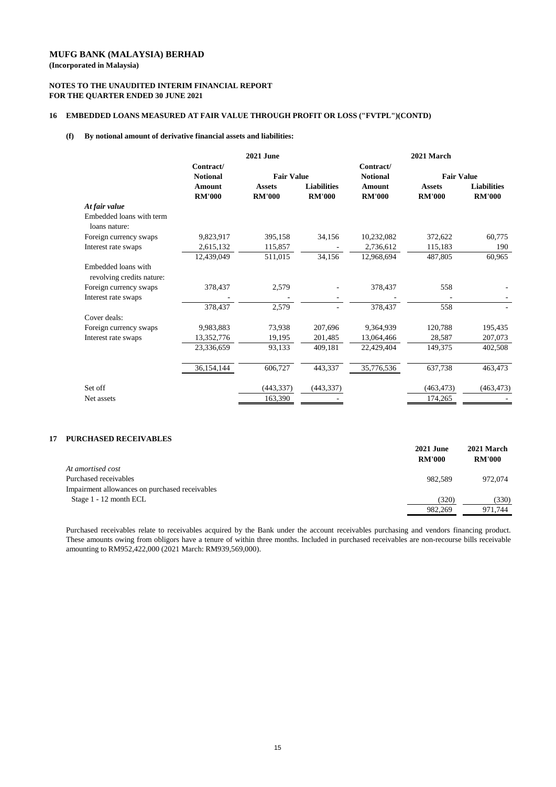**(Incorporated in Malaysia)**

### **NOTES TO THE UNAUDITED INTERIM FINANCIAL REPORT FOR THE QUARTER ENDED 30 JUNE 2021**

### **16 EMBEDDED LOANS MEASURED AT FAIR VALUE THROUGH PROFIT OR LOSS ("FVTPL")(CONTD)**

### **(f) By notional amount of derivative financial assets and liabilities:**

#### **17 PURCHASED RECEIVABLES**

|                                                  | <b>2021 June</b> |                   |                    | 2021 March      |                   |                    |  |
|--------------------------------------------------|------------------|-------------------|--------------------|-----------------|-------------------|--------------------|--|
|                                                  | Contract/        |                   |                    | Contract/       |                   |                    |  |
|                                                  | <b>Notional</b>  | <b>Fair Value</b> |                    | <b>Notional</b> | <b>Fair Value</b> |                    |  |
|                                                  | <b>Amount</b>    | <b>Assets</b>     | <b>Liabilities</b> | <b>Amount</b>   | <b>Assets</b>     | <b>Liabilities</b> |  |
|                                                  | <b>RM'000</b>    | <b>RM'000</b>     | <b>RM'000</b>      | <b>RM'000</b>   | <b>RM'000</b>     | <b>RM'000</b>      |  |
| At fair value                                    |                  |                   |                    |                 |                   |                    |  |
| Embedded loans with term                         |                  |                   |                    |                 |                   |                    |  |
| loans nature:                                    |                  |                   |                    |                 |                   |                    |  |
| Foreign currency swaps                           | 9,823,917        | 395,158           | 34,156             | 10,232,082      | 372,622           | 60,775             |  |
| Interest rate swaps                              | 2,615,132        | 115,857           |                    | 2,736,612       | 115,183           | 190                |  |
|                                                  | 12,439,049       | 511,015           | 34,156             | 12,968,694      | 487,805           | 60,965             |  |
| Embedded loans with<br>revolving credits nature: |                  |                   |                    |                 |                   |                    |  |
| Foreign currency swaps                           | 378,437          | 2,579             |                    | 378,437         | 558               |                    |  |
| Interest rate swaps                              |                  |                   |                    |                 |                   |                    |  |
|                                                  | 378,437          | 2,579             |                    | 378,437         | 558               |                    |  |
| Cover deals:                                     |                  |                   |                    |                 |                   |                    |  |
| Foreign currency swaps                           | 9,983,883        | 73,938            | 207,696            | 9,364,939       | 120,788           | 195,435            |  |
| Interest rate swaps                              | 13,352,776       | 19,195            | 201,485            | 13,064,466      | 28,587            | 207,073            |  |
|                                                  | 23,336,659       | 93,133            | 409,181            | 22,429,404      | 149,375           | 402,508            |  |
|                                                  | 36,154,144       | 606,727           | 443,337            | 35,776,536      | 637,738           | 463,473            |  |
| Set off                                          |                  | (443, 337)        | (443, 337)         |                 | (463, 473)        | (463, 473)         |  |
| Net assets                                       |                  | 163,390           |                    |                 | 174,265           |                    |  |

|                                                | <b>2021 June</b><br><b>RM'000</b> | 2021 March<br><b>RM'000</b> |
|------------------------------------------------|-----------------------------------|-----------------------------|
| At amortised cost                              |                                   |                             |
| Purchased receivables                          | 982,589                           | 972,074                     |
| Impairment allowances on purchased receivables |                                   |                             |
| Stage 1 - 12 month ECL                         | (320)                             | (330)                       |
|                                                | 982,269                           | 971.744                     |
|                                                |                                   |                             |

Purchased receivables relate to receivables acquired by the Bank under the account receivables purchasing and vendors financing product. These amounts owing from obligors have a tenure of within three months. Included in purchased receivables are non-recourse bills receivable amounting to RM952,422,000 (2021 March: RM939,569,000).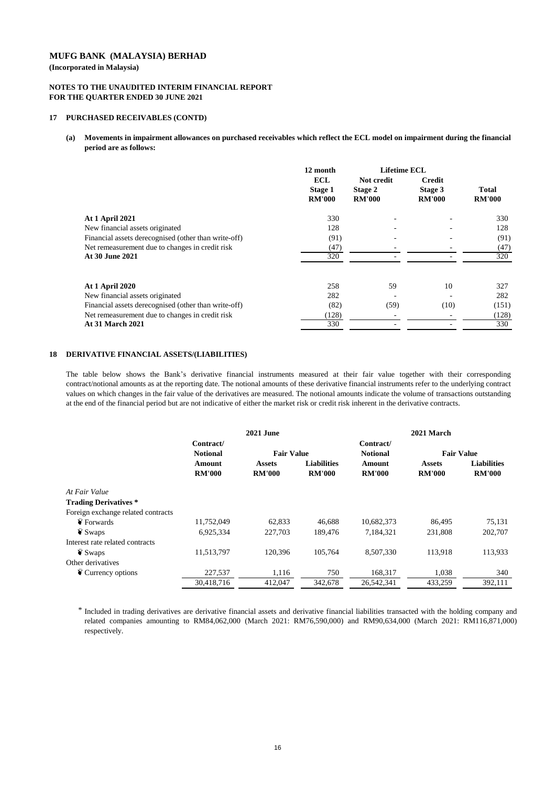**(Incorporated in Malaysia)**

#### **NOTES TO THE UNAUDITED INTERIM FINANCIAL REPORT FOR THE QUARTER ENDED 30 JUNE 2021**

#### **17 PURCHASED RECEIVABLES (CONTD)**

#### **18 DERIVATIVE FINANCIAL ASSETS/(LIABILITIES)**

(a) Movements in impairment allowances on purchased receivables which reflect the ECL model on impairment during the financial **period are as follows:**

|                                                      | 12 month                                      | <b>Lifetime ECL</b>                    |                                           |                               |
|------------------------------------------------------|-----------------------------------------------|----------------------------------------|-------------------------------------------|-------------------------------|
|                                                      | <b>ECL</b><br><b>Stage 1</b><br><b>RM'000</b> | Not credit<br>Stage 2<br><b>RM'000</b> | <b>Credit</b><br>Stage 3<br><b>RM'000</b> | <b>Total</b><br><b>RM'000</b> |
| <b>At 1 April 2021</b>                               | 330                                           |                                        |                                           | 330                           |
| New financial assets originated                      | 128                                           |                                        |                                           | 128                           |
| Financial assets derecognised (other than write-off) | (91)                                          | $\overline{\phantom{0}}$               |                                           | (91)                          |
| Net remeasurement due to changes in credit risk      | (47)                                          |                                        |                                           | (47)                          |
| At 30 June 2021                                      | 320                                           |                                        |                                           | 320                           |
| <b>At 1 April 2020</b>                               | 258                                           | 59                                     | 10                                        | 327                           |
| New financial assets originated                      | 282                                           |                                        |                                           | 282                           |
| Financial assets derecognised (other than write-off) | (82)                                          | (59)                                   | (10)                                      | (151)                         |
| Net remeasurement due to changes in credit risk      | (128)                                         |                                        |                                           | (128)                         |
| <b>At 31 March 2021</b>                              | 330                                           |                                        |                                           | 330                           |

| 30,418,716 | 412,047 | 342,678 | 26,542,341 | 433,259 | 392,111 |
|------------|---------|---------|------------|---------|---------|
|            |         |         |            |         |         |

|                                      | <b>2021 June</b>               |                                | 2021 March                          |                                |                                |                                     |
|--------------------------------------|--------------------------------|--------------------------------|-------------------------------------|--------------------------------|--------------------------------|-------------------------------------|
|                                      | Contract/<br><b>Notional</b>   | <b>Fair Value</b>              | Contract/<br><b>Notional</b>        | <b>Fair Value</b>              |                                |                                     |
|                                      | <b>Amount</b><br><b>RM'000</b> | <b>Assets</b><br><b>RM'000</b> | <b>Liabilities</b><br><b>RM'000</b> | <b>Amount</b><br><b>RM'000</b> | <b>Assets</b><br><b>RM'000</b> | <b>Liabilities</b><br><b>RM'000</b> |
| At Fair Value                        |                                |                                |                                     |                                |                                |                                     |
| <b>Trading Derivatives</b> *         |                                |                                |                                     |                                |                                |                                     |
| Foreign exchange related contracts   |                                |                                |                                     |                                |                                |                                     |
| $\ddot{\mathbf{v}}$ Forwards         | 11,752,049                     | 62,833                         | 46,688                              | 10,682,373                     | 86,495                         | 75,131                              |
| $\ddot{\mathbf{y}}$ Swaps            | 6,925,334                      | 227,703                        | 189,476                             | 7,184,321                      | 231,808                        | 202,707                             |
| Interest rate related contracts      |                                |                                |                                     |                                |                                |                                     |
| $\ddot{\mathbf{y}}$ Swaps            | 11,513,797                     | 120,396                        | 105,764                             | 8,507,330                      | 113,918                        | 113,933                             |
| Other derivatives                    |                                |                                |                                     |                                |                                |                                     |
| $\ddot{\mathbf{Y}}$ Currency options | 227,537                        | 1,116                          | 750                                 | 168,317                        | 1,038                          | 340                                 |

The table below shows the Bank's derivative financial instruments measured at their fair value together with their corresponding contract/notional amounts as at the reporting date. The notional amounts of these derivative financial instruments refer to the underlying contract values on which changes in the fair value of the derivatives are measured. The notional amounts indicate the volume of transactions outstanding at the end of the financial period but are not indicative of either the market risk or credit risk inherent in the derivative contracts.

\* Included in trading derivatives are derivative financial assets and derivative financial liabilities transacted with the holding company and related companies amounting to RM84,062,000 (March 2021: RM76,590,000) and RM90,634,000 (March 2021: RM116,871,000) respectively.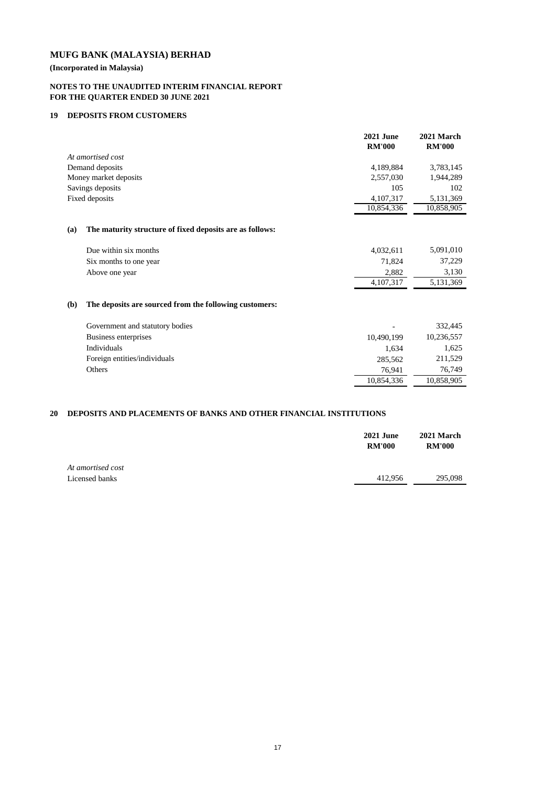**(Incorporated in Malaysia)**

# **NOTES TO THE UNAUDITED INTERIM FINANCIAL REPORT FOR THE QUARTER ENDED 30 JUNE 2021**

#### **19 DEPOSITS FROM CUSTOMERS**

|                |                                                          | <b>2021 June</b><br><b>RM'000</b> | 2021 March<br><b>RM'000</b> |
|----------------|----------------------------------------------------------|-----------------------------------|-----------------------------|
|                | At amortised cost                                        |                                   |                             |
|                | Demand deposits                                          |                                   | 3,783,145                   |
|                | Money market deposits                                    |                                   | 1,944,289                   |
|                | Savings deposits                                         | 105                               | 102                         |
| Fixed deposits |                                                          | 4,107,317                         | 5,131,369                   |
|                |                                                          | 10,854,336                        | 10,858,905                  |
| (a)            | The maturity structure of fixed deposits are as follows: |                                   |                             |
|                | Due within six months                                    | 4,032,611                         | 5,091,010                   |
|                | Six months to one year                                   | 71,824                            | 37,229                      |
|                | Above one year                                           | 2,882                             | 3,130                       |
|                |                                                          | 4,107,317                         | 5,131,369                   |
| <b>(b)</b>     | The deposits are sourced from the following customers:   |                                   |                             |
|                | Government and statutory bodies                          |                                   | 332,445                     |
|                | Business enterprises                                     | 10,490,199                        | 10,236,557                  |
|                | Individuals                                              | 1,634                             | 1,625                       |
|                | Foreign entities/individuals                             | 285,562                           | 211,529                     |
|                | Others                                                   | 76,941                            | 76,749                      |
|                |                                                          | 10,854,336                        | 10,858,905                  |
|                |                                                          |                                   |                             |

## **20 DEPOSITS AND PLACEMENTS OF BANKS AND OTHER FINANCIAL INSTITUTIONS**

|                   | <b>2021 June</b><br><b>RM'000</b> | 2021 March<br><b>RM'000</b> |
|-------------------|-----------------------------------|-----------------------------|
| At amortised cost |                                   |                             |
| Licensed banks    | 412,956                           | 295,098                     |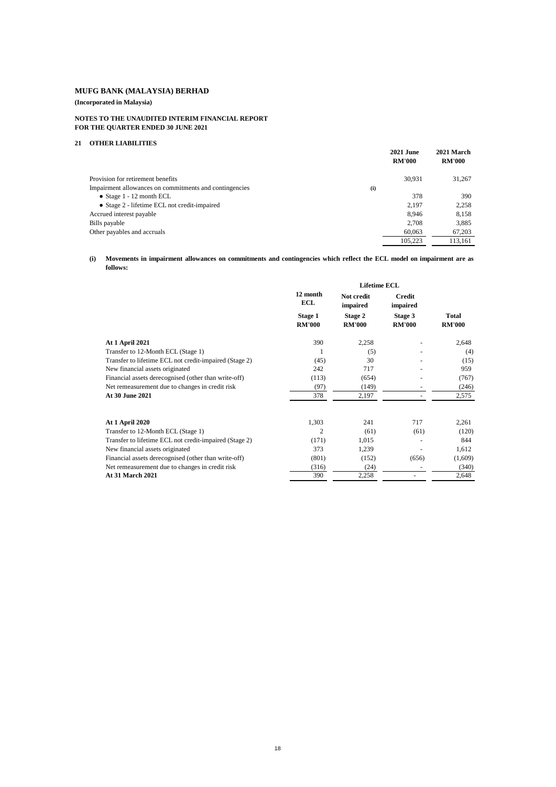# **(Incorporated in Malaysia)**

# **NOTES TO THE UNAUDITED INTERIM FINANCIAL REPORT FOR THE QUARTER ENDED 30 JUNE 2021**

# **21 OTHER LIABILITIES**

|                                                        |     | <b>2021 June</b><br><b>RM'000</b> | 2021 March<br><b>RM'000</b> |
|--------------------------------------------------------|-----|-----------------------------------|-----------------------------|
| Provision for retirement benefits                      |     | 30,931                            | 31,267                      |
| Impairment allowances on commitments and contingencies | (i) |                                   |                             |
| • Stage $1 - 12$ month ECL                             |     | 378                               | 390                         |
| • Stage 2 - lifetime ECL not credit-impaired           |     | 2,197                             | 2,258                       |
| Accrued interest payable                               |     | 8,946                             | 8,158                       |
| Bills payable                                          |     | 2,708                             | 3,885                       |
| Other payables and accruals                            |     | 60,063                            | 67,203                      |
|                                                        |     | 105,223                           | 113,161                     |

#### (i) Movements in impairment allowances on commitments and contingencies which reflect the ECL model on impairment are as **follows:**

|                                                        | <b>Lifetime ECL</b>             |                                 |                                 |                               |
|--------------------------------------------------------|---------------------------------|---------------------------------|---------------------------------|-------------------------------|
|                                                        | 12 month<br><b>ECL</b>          | Not credit<br>impaired          | <b>Credit</b><br>impaired       |                               |
|                                                        | <b>Stage 1</b><br><b>RM'000</b> | <b>Stage 2</b><br><b>RM'000</b> | <b>Stage 3</b><br><b>RM'000</b> | <b>Total</b><br><b>RM'000</b> |
| <b>At 1 April 2021</b>                                 | 390                             | 2,258                           |                                 | 2,648                         |
| Transfer to 12-Month ECL (Stage 1)                     | 1                               | (5)                             |                                 | (4)                           |
| Transfer to lifetime ECL not credit-impaired (Stage 2) | (45)                            | 30                              |                                 | (15)                          |
| New financial assets originated                        | 242                             | 717                             |                                 | 959                           |
| Financial assets derecognised (other than write-off)   | (113)                           | (654)                           |                                 | (767)                         |
| Net remeasurement due to changes in credit risk        | (97)                            | (149)                           |                                 | (246)                         |
| At 30 June 2021                                        | 378                             | 2,197                           |                                 | 2,575                         |
| <b>At 1 April 2020</b>                                 | 1,303                           | 241                             | 717                             | 2,261                         |
| Transfer to 12-Month ECL (Stage 1)                     | $\overline{2}$                  | (61)                            | (61)                            | (120)                         |
| Transfer to lifetime ECL not credit-impaired (Stage 2) | (171)                           | 1,015                           |                                 | 844                           |
| New financial assets originated                        | 373                             | 1,239                           |                                 | 1,612                         |
| Financial assets derecognised (other than write-off)   | (801)                           | (152)                           | (656)                           | (1,609)                       |
| Net remeasurement due to changes in credit risk        | (316)                           | (24)                            |                                 | (340)                         |
| <b>At 31 March 2021</b>                                | 390                             | 2,258                           |                                 | 2,648                         |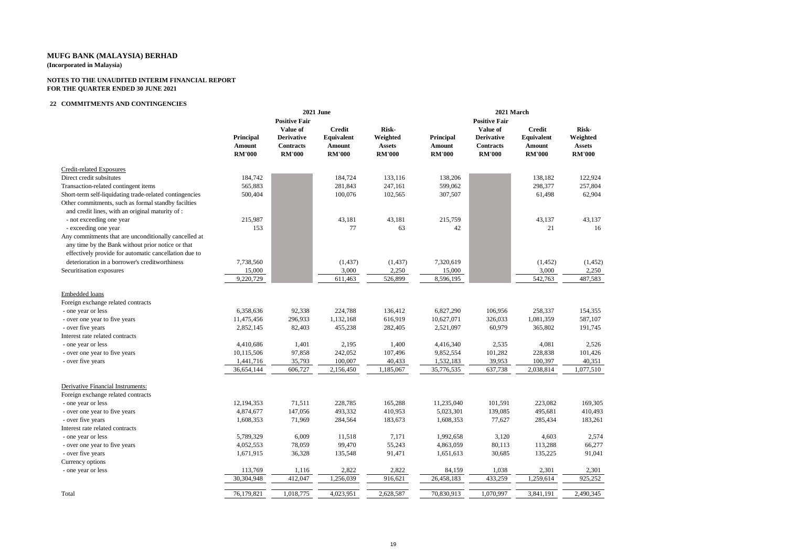# **MUFG BANK (MALAYSIA) BERHAD (Incorporated in Malaysia)**

# **NOTES TO THE UNAUDITED INTERIM FINANCIAL REPORT FOR THE QUARTER ENDED 30 JUNE 2021**

# **22 COMMITMENTS AND CONTINGENCIES**

|                                                                                                                                                                     | <b>2021 June</b>               |                                   |                                    |                                | 2021 March                     |                                   |                                    |                                |
|---------------------------------------------------------------------------------------------------------------------------------------------------------------------|--------------------------------|-----------------------------------|------------------------------------|--------------------------------|--------------------------------|-----------------------------------|------------------------------------|--------------------------------|
|                                                                                                                                                                     |                                | <b>Positive Fair</b>              |                                    |                                |                                | <b>Positive Fair</b>              |                                    |                                |
|                                                                                                                                                                     | <b>Principal</b>               | Value of<br><b>Derivative</b>     | <b>Credit</b><br><b>Equivalent</b> | <b>Risk-</b><br>Weighted       | <b>Principal</b>               | Value of<br><b>Derivative</b>     | <b>Credit</b><br><b>Equivalent</b> | <b>Risk-</b><br>Weighted       |
|                                                                                                                                                                     | <b>Amount</b><br><b>RM'000</b> | <b>Contracts</b><br><b>RM'000</b> | <b>Amount</b><br><b>RM'000</b>     | <b>Assets</b><br><b>RM'000</b> | <b>Amount</b><br><b>RM'000</b> | <b>Contracts</b><br><b>RM'000</b> | <b>Amount</b><br><b>RM'000</b>     | <b>Assets</b><br><b>RM'000</b> |
| <b>Credit-related Exposures</b>                                                                                                                                     |                                |                                   |                                    |                                |                                |                                   |                                    |                                |
| Direct credit subsitutes                                                                                                                                            | 184,742                        |                                   | 184,724                            | 133,116                        | 138,206                        |                                   | 138,182                            | 122,924                        |
| Transaction-related contingent items                                                                                                                                | 565,883                        |                                   | 281,843                            | 247,161                        | 599,062                        |                                   | 298,377                            | 257,804                        |
| Short-term self-liquidating trade-related contingencies<br>Other commitments, such as formal standby facilties<br>and credit lines, with an original maturity of :  | 500,404                        |                                   | 100,076                            | 102,565                        | 307,507                        |                                   | 61,498                             | 62,904                         |
| - not exceeding one year                                                                                                                                            | 215,987                        |                                   | 43,181                             | 43,181                         | 215,759                        |                                   | 43,137                             | 43,137                         |
| - exceeding one year                                                                                                                                                | 153                            |                                   | 77                                 | 63                             | 42                             |                                   | 21                                 | 16                             |
| Any commitments that are unconditionally cancelled at<br>any time by the Bank without prior notice or that<br>effectively provide for automatic cancellation due to |                                |                                   |                                    |                                |                                |                                   |                                    |                                |
| deterioration in a borrower's creditworthiness                                                                                                                      | 7,738,560                      |                                   | (1, 437)                           | (1, 437)                       | 7,320,619                      |                                   | (1,452)                            | (1, 452)                       |
| Securitisation exposures                                                                                                                                            | 15,000                         |                                   | 3,000                              | 2,250                          | 15,000                         |                                   | 3,000                              | 2,250                          |
|                                                                                                                                                                     | 9,220,729                      |                                   | 611,463                            | 526,899                        | 8,596,195                      |                                   | 542,763                            | 487,583                        |
| Embedded loans<br>Foreign exchange related contracts                                                                                                                |                                |                                   |                                    |                                |                                |                                   |                                    |                                |
| - one year or less                                                                                                                                                  | 6,358,636                      | 92,338                            | 224,788                            | 136,412                        | 6,827,290                      | 106,956                           | 258,337                            | 154,355                        |
| - over one year to five years                                                                                                                                       | 11,475,456                     | 296,933                           | 1,132,168                          | 616,919                        | 10,627,071                     | 326,033                           | 1,081,359                          | 587,107                        |
| - over five years                                                                                                                                                   | 2,852,145                      | 82,403                            | 455,238                            | 282,405                        | 2,521,097                      | 60,979                            | 365,802                            | 191,745                        |
| Interest rate related contracts                                                                                                                                     |                                |                                   |                                    |                                |                                |                                   |                                    |                                |
| - one year or less                                                                                                                                                  | 4,410,686                      | 1,401                             | 2,195                              | 1,400                          | 4,416,340                      | 2,535                             | 4,081                              | 2,526                          |
| - over one year to five years                                                                                                                                       | 10,115,506                     | 97,858                            | 242,052                            | 107,496                        | 9,852,554                      | 101,282                           | 228,838                            | 101,426                        |
| - over five years                                                                                                                                                   | 1,441,716<br>36,654,144        | 35,793<br>606,727                 | 100,007<br>2,156,450               | 40,433<br>1,185,067            | 1,532,183<br>35,776,535        | 39,953<br>637,738                 | 100,397<br>2,038,814               | 40,351<br>1,077,510            |
|                                                                                                                                                                     |                                |                                   |                                    |                                |                                |                                   |                                    |                                |
| <b>Derivative Financial Instruments:</b><br>Foreign exchange related contracts                                                                                      |                                |                                   |                                    |                                |                                |                                   |                                    |                                |
| - one year or less                                                                                                                                                  | 12,194,353                     | 71,511                            | 228,785                            | 165,288                        | 11,235,040                     | 101,591                           | 223,082                            | 169,305                        |
| - over one year to five years                                                                                                                                       | 4,874,677                      | 147,056                           | 493,332                            | 410,953                        | 5,023,301                      | 139,085                           | 495,681                            | 410,493                        |
| - over five years                                                                                                                                                   | 1,608,353                      | 71,969                            | 284,564                            | 183,673                        | 1,608,353                      | 77,627                            | 285,434                            | 183,261                        |
| Interest rate related contracts                                                                                                                                     |                                |                                   |                                    |                                |                                |                                   |                                    |                                |
| - one year or less                                                                                                                                                  | 5,789,329                      | 6,009                             | 11,518                             | 7,171                          | 1,992,658                      | 3,120                             | 4,603                              | 2,574                          |
| - over one year to five years                                                                                                                                       | 4,052,553                      | 78,059                            | 99,470                             | 55,243                         | 4,863,059                      | 80,113                            | 113,288                            | 66,277                         |
| - over five years                                                                                                                                                   | 1,671,915                      | 36,328                            | 135,548                            | 91,471                         | 1,651,613                      | 30,685                            | 135,225                            | 91,041                         |
| Currency options                                                                                                                                                    |                                |                                   |                                    |                                |                                |                                   |                                    |                                |
| - one year or less                                                                                                                                                  | 113,769                        | 1,116                             | 2,822                              | 2,822                          | 84,159                         | 1,038                             | 2,301                              | 2,301                          |
|                                                                                                                                                                     | 30,304,948                     | 412,047                           | 1,256,039                          | 916,621                        | 26,458,183                     | 433,259                           | 1,259,614                          | 925,252                        |
| Total                                                                                                                                                               | 76,179,821                     | 1,018,775                         | 4,023,951                          | 2,628,587                      | 70,830,913                     | 1,070,997                         | 3,841,191                          | 2,490,345                      |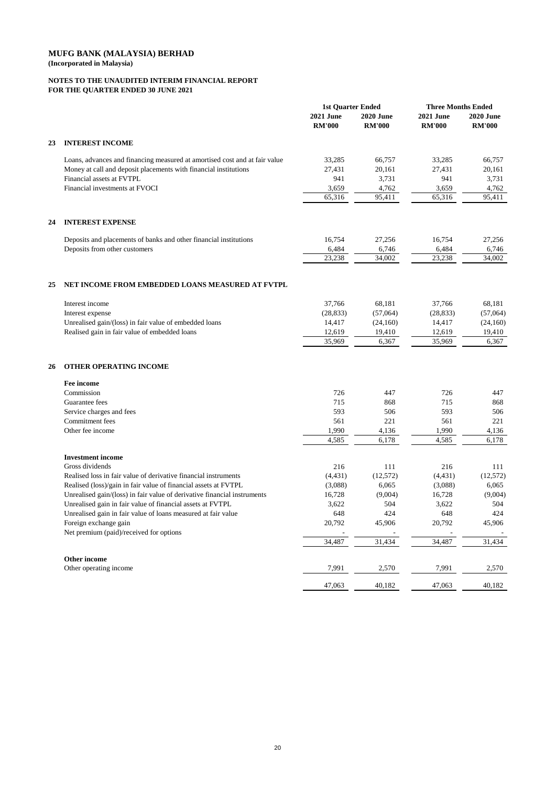**(Incorporated in Malaysia)**

# **NOTES TO THE UNAUDITED INTERIM FINANCIAL REPORT FOR THE QUARTER ENDED 30 JUNE 2021**

|    |                                                                            | <b>1st Quarter Ended</b>          |                                   |                                   | <b>Three Months Ended</b>         |  |
|----|----------------------------------------------------------------------------|-----------------------------------|-----------------------------------|-----------------------------------|-----------------------------------|--|
|    |                                                                            | <b>2021 June</b><br><b>RM'000</b> | <b>2020 June</b><br><b>RM'000</b> | <b>2021 June</b><br><b>RM'000</b> | <b>2020 June</b><br><b>RM'000</b> |  |
| 23 | <b>INTEREST INCOME</b>                                                     |                                   |                                   |                                   |                                   |  |
|    | Loans, advances and financing measured at amortised cost and at fair value | 33,285                            | 66,757                            | 33,285                            | 66,757                            |  |
|    | Money at call and deposit placements with financial institutions           | 27,431                            | 20,161                            | 27,431                            | 20,161                            |  |
|    | Financial assets at FVTPL                                                  | 941                               | 3,731                             | 941                               | 3,731                             |  |
|    | Financial investments at FVOCI                                             | 3,659                             | 4,762                             | 3,659                             | 4,762                             |  |
|    |                                                                            | 65,316                            | 95,411                            | 65,316                            | 95,411                            |  |
| 24 | <b>INTEREST EXPENSE</b>                                                    |                                   |                                   |                                   |                                   |  |
|    | Deposits and placements of banks and other financial institutions          | 16,754                            | 27,256                            | 16,754                            | 27,256                            |  |
|    | Deposits from other customers                                              | 6,484                             | 6,746                             | 6,484                             | 6,746                             |  |
|    |                                                                            | 23,238                            | 34,002                            | 23,238                            | 34,002                            |  |
| 25 | NET INCOME FROM EMBEDDED LOANS MEASURED AT FVTPL                           |                                   |                                   |                                   |                                   |  |
|    | Interest income                                                            | 37,766                            | 68,181                            | 37,766                            | 68,181                            |  |
|    | Interest expense                                                           | (28, 833)                         | (57,064)                          | (28, 833)                         | (57,064)                          |  |
|    | Unrealised gain/(loss) in fair value of embedded loans                     | 14,417                            | (24,160)                          | 14,417                            | (24,160)                          |  |
|    | Realised gain in fair value of embedded loans                              | 12,619                            | 19,410                            | 12,619                            | 19,410                            |  |
|    |                                                                            | 35,969                            | 6,367                             | 35,969                            | 6,367                             |  |
| 26 | <b>OTHER OPERATING INCOME</b>                                              |                                   |                                   |                                   |                                   |  |
|    | <b>Fee income</b>                                                          |                                   |                                   |                                   |                                   |  |
|    | Commission                                                                 | 726                               | 447                               | 726                               | 447                               |  |
|    | Guarantee fees                                                             | 715                               | 868                               | 715                               | 868                               |  |
|    | Service charges and fees                                                   | 593                               | 506                               | 593                               | 506                               |  |
|    | <b>Commitment</b> fees                                                     | 561                               | 221                               | 561                               | 221                               |  |
|    | Other fee income                                                           | 1,990                             | 4,136                             | 1,990                             | 4,136                             |  |
|    |                                                                            | 4,585                             | 6,178                             | 4,585                             | 6,178                             |  |
|    | <b>Investment income</b>                                                   |                                   |                                   |                                   |                                   |  |
|    | Gross dividends                                                            | 216                               | 111                               | 216                               | 111                               |  |
|    | Realised loss in fair value of derivative financial instruments            | (4, 431)                          | (12,572)                          | (4, 431)                          | (12,572)                          |  |
|    | Realised (loss)/gain in fair value of financial assets at FVTPL            | (3,088)                           | 6,065                             | (3,088)                           | 6,065                             |  |
|    | Unrealised gain/(loss) in fair value of derivative financial instruments   | 16,728                            | (9,004)                           | 16,728                            | (9,004)                           |  |
|    | Unrealised gain in fair value of financial assets at FVTPL                 | 3,622                             | 504                               | 3,622                             | 504                               |  |
|    | Unrealised gain in fair value of loans measured at fair value              | 648                               | 424                               | 648                               | 424                               |  |
|    | Foreign exchange gain                                                      | 20,792                            | 45,906                            | 20,792                            | 45,906                            |  |
|    | Net premium (paid)/received for options                                    |                                   |                                   |                                   |                                   |  |
|    |                                                                            | 34,487                            | 31,434                            | 34,487                            | 31,434                            |  |

| Other income           |        |              |        |        |
|------------------------|--------|--------------|--------|--------|
| Other operating income | 7,991  | .570<br>ر. ت | 7,991  | 2,570  |
|                        |        |              |        |        |
|                        | 47,063 | 40,182       | 47,063 | 40,182 |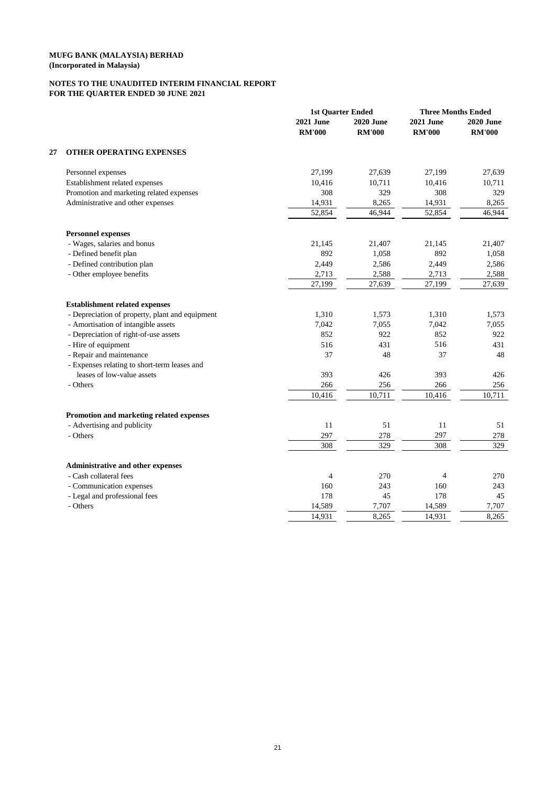# **MUFG BANK (MALAYSIA) BERHAD (Incorporated in Malaysia)**

# **NOTES TO THE UNAUDITED INTERIM FINANCIAL REPORT FOR THE QUARTER ENDED 30 JUNE 2021**

|          |                                                 |                                   | <b>1st Quarter Ended</b>          |                                   | <b>Three Months Ended</b>         |  |
|----------|-------------------------------------------------|-----------------------------------|-----------------------------------|-----------------------------------|-----------------------------------|--|
|          |                                                 | <b>2021 June</b><br><b>RM'000</b> | <b>2020 June</b><br><b>RM'000</b> | <b>2021 June</b><br><b>RM'000</b> | <b>2020 June</b><br><b>RM'000</b> |  |
| 27       | <b>OTHER OPERATING EXPENSES</b>                 |                                   |                                   |                                   |                                   |  |
|          | Personnel expenses                              | 27,199                            | 27,639                            | 27,199                            | 27,639                            |  |
|          | Establishment related expenses                  | 10,416                            | 10,711                            | 10,416                            | 10,711                            |  |
|          | Promotion and marketing related expenses        | 308                               | 329                               | 308                               | 329                               |  |
|          | Administrative and other expenses               | 14,931                            | 8,265                             | 14,931                            | 8,265                             |  |
|          |                                                 | 52,854                            | 46,944                            | 52,854                            | 46,944                            |  |
|          | <b>Personnel expenses</b>                       |                                   |                                   |                                   |                                   |  |
|          | - Wages, salaries and bonus                     | 21,145                            | 21,407                            | 21,145                            | 21,407                            |  |
|          | - Defined benefit plan                          | 892                               | 1,058                             | 892                               | 1,058                             |  |
|          | - Defined contribution plan                     | 2,449                             | 2,586                             | 2,449                             | 2,586                             |  |
|          | - Other employee benefits                       | 2,713                             | 2,588                             | 2,713                             | 2,588                             |  |
|          |                                                 | 27,199                            | 27,639                            | 27,199                            | 27,639                            |  |
|          | <b>Establishment related expenses</b>           |                                   |                                   |                                   |                                   |  |
|          | - Depreciation of property, plant and equipment | 1,310                             | 1,573                             | 1,310                             | 1,573                             |  |
|          | - Amortisation of intangible assets             | 7,042                             | 7,055                             | 7,042                             | 7,055                             |  |
|          | - Depreciation of right-of-use assets           | 852                               | 922                               | 852                               | 922                               |  |
|          | - Hire of equipment                             | 516                               | 431                               | 516                               | 431                               |  |
|          | - Repair and maintenance                        | 37                                | 48                                | 37                                | 48                                |  |
|          | - Expenses relating to short-term leases and    |                                   |                                   |                                   |                                   |  |
|          | leases of low-value assets                      | 393                               | 426                               | 393                               | 426                               |  |
| - Others |                                                 | 266                               | 256                               | 266                               | 256                               |  |
|          |                                                 | 10,416                            | 10,711                            | 10,416                            | 10,711                            |  |
|          | Promotion and marketing related expenses        |                                   |                                   |                                   |                                   |  |
|          | - Advertising and publicity                     | 11                                | 51                                | 11                                | 51                                |  |
| - Others |                                                 | 297                               | 278                               | 297                               | 278                               |  |
|          |                                                 | 308                               | 329                               | 308                               | 329                               |  |
|          | Administrative and other expenses               |                                   |                                   |                                   |                                   |  |
|          | - Cash collateral fees                          | 4                                 | 270                               | 4                                 | 270                               |  |
|          | - Communication expenses                        | 160                               | 243                               | 160                               | 243                               |  |
|          | - Legal and professional fees                   | 178                               | 45                                | 178                               | 45                                |  |
| - Others |                                                 | 14,589                            | 7,707                             | 14,589                            | 7,707                             |  |
|          |                                                 | 14,931                            | 8,265                             | 14,931                            | 8,265                             |  |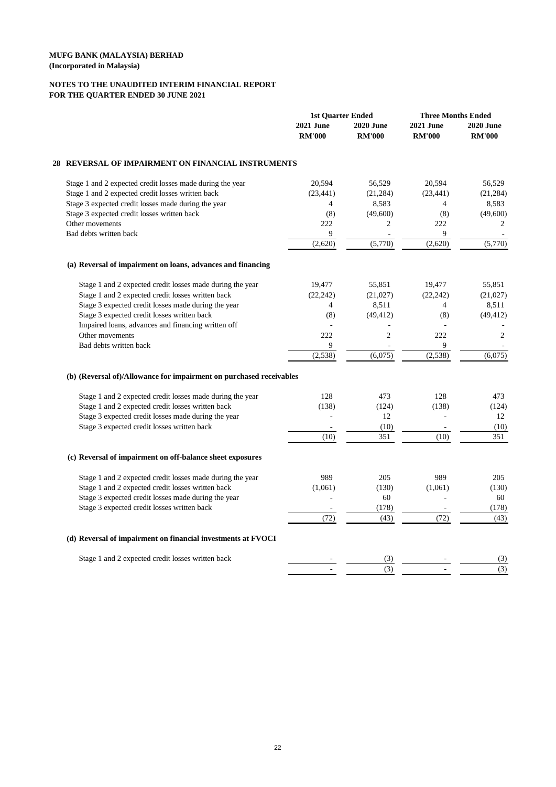# **MUFG BANK (MALAYSIA) BERHAD (Incorporated in Malaysia)**

# **NOTES TO THE UNAUDITED INTERIM FINANCIAL REPORT FOR THE QUARTER ENDED 30 JUNE 2021**

|                                                                     | <b>1st Quarter Ended</b>          |                                   | <b>Three Months Ended</b>         |                                   |
|---------------------------------------------------------------------|-----------------------------------|-----------------------------------|-----------------------------------|-----------------------------------|
|                                                                     | <b>2021 June</b><br><b>RM'000</b> | <b>2020 June</b><br><b>RM'000</b> | <b>2021 June</b><br><b>RM'000</b> | <b>2020 June</b><br><b>RM'000</b> |
| 28 REVERSAL OF IMPAIRMENT ON FINANCIAL INSTRUMENTS                  |                                   |                                   |                                   |                                   |
| Stage 1 and 2 expected credit losses made during the year           | 20,594                            | 56,529                            | 20,594                            | 56,529                            |
| Stage 1 and 2 expected credit losses written back                   | (23, 441)                         | (21, 284)                         | (23, 441)                         | (21, 284)                         |
| Stage 3 expected credit losses made during the year                 | 4                                 | 8,583                             | 4                                 | 8,583                             |
| Stage 3 expected credit losses written back                         | (8)                               | (49,600)                          | (8)                               | (49,600)                          |
| Other movements                                                     | 222                               | 2                                 | 222                               |                                   |
| Bad debts written back                                              | 9                                 |                                   | 9                                 |                                   |
|                                                                     | (2,620)                           | (5,770)                           | (2,620)                           | (5,770)                           |
| (a) Reversal of impairment on loans, advances and financing         |                                   |                                   |                                   |                                   |
| Stage 1 and 2 expected credit losses made during the year           | 19,477                            | 55,851                            | 19,477                            | 55,851                            |
| Stage 1 and 2 expected credit losses written back                   | (22, 242)                         | (21,027)                          | (22, 242)                         | (21,027)                          |
| Stage 3 expected credit losses made during the year                 | 4                                 | 8,511                             | 4                                 | 8,511                             |
| Stage 3 expected credit losses written back                         | (8)                               | (49, 412)                         | (8)                               | (49, 412)                         |
| Impaired loans, advances and financing written off                  |                                   |                                   |                                   |                                   |
| Other movements                                                     | 222                               | $\overline{2}$                    | 222                               | $\overline{2}$                    |
| Bad debts written back                                              | 9                                 |                                   | 9                                 |                                   |
|                                                                     | (2,538)                           | (6,075)                           | (2,538)                           | (6,075)                           |
| (b) (Reversal of)/Allowance for impairment on purchased receivables |                                   |                                   |                                   |                                   |
| Stage 1 and 2 expected credit losses made during the year           | 128                               | 473                               | 128                               | 473                               |
| Stage 1 and 2 expected credit losses written back                   | (138)                             | (124)                             | (138)                             | (124)                             |
| Stage 3 expected credit losses made during the year                 |                                   | 12                                |                                   | 12                                |
| Stage 3 expected credit losses written back                         |                                   | (10)                              |                                   | (10)                              |
|                                                                     | (10)                              | 351                               | (10)                              | 351                               |
| (c) Reversal of impairment on off-balance sheet exposures           |                                   |                                   |                                   |                                   |
| Stage 1 and 2 expected credit losses made during the year           | 989                               | 205                               | 989                               | 205                               |
| Stage 1 and 2 expected credit losses written back                   | (1,061)                           | (130)                             | (1,061)                           | (130)                             |
| Stage 3 expected credit losses made during the year                 |                                   | 60                                |                                   | 60                                |
| Stage 3 expected credit losses written back                         |                                   | (178)                             |                                   | (178)                             |
|                                                                     | (72)                              | (43)                              | (72)                              | (43)                              |
| (d) Reversal of impairment on financial investments at FVOCI        |                                   |                                   |                                   |                                   |
| Stage 1 and 2 expected credit losses written back                   |                                   | (3)                               |                                   | (3)                               |
|                                                                     |                                   | (3)                               |                                   | (3)                               |
|                                                                     |                                   |                                   |                                   |                                   |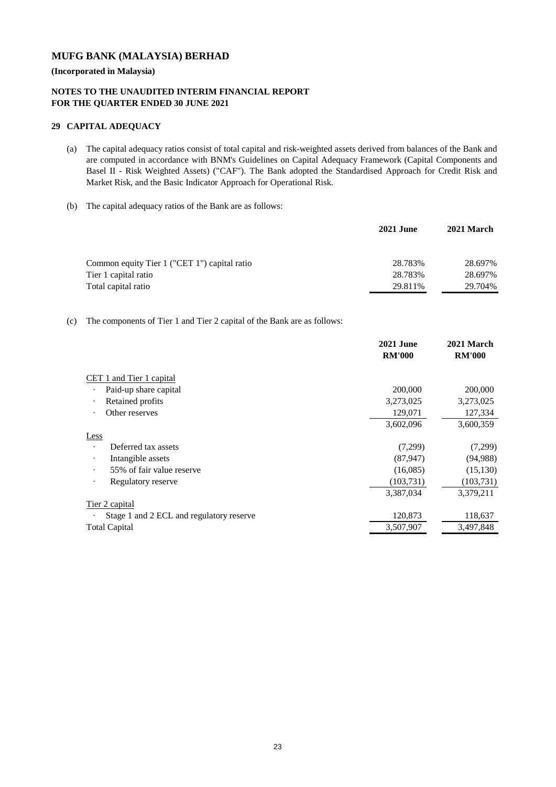**(Incorporated in Malaysia)**

#### **NOTES TO THE UNAUDITED INTERIM FINANCIAL REPORT FOR THE QUARTER ENDED 30 JUNE 2021**

#### **29 CAPITAL ADEQUACY**

- (a) The capital adequacy ratios consist of total capital and risk-weighted assets derived from balances of the Bank and are computed in accordance with BNM's Guidelines on Capital Adequacy Framework (Capital Components and Basel II - Risk Weighted Assets) ("CAF"). The Bank adopted the Standardised Approach for Credit Risk and Market Risk, and the Basic Indicator Approach for Operational Risk.
- (b) The capital adequacy ratios of the Bank are as follows:

|                                              | <b>2021 June</b> | 2021 March |
|----------------------------------------------|------------------|------------|
| Common equity Tier 1 ("CET 1") capital ratio | 28.783%          | 28.697%    |
| Tier 1 capital ratio                         | 28.783%          | 28.697%    |
| Total capital ratio                          | 29.811%          | 29.704%    |

#### (c) The components of Tier 1 and Tier 2 capital of the Bank are as follows:

|                                                       | <b>2021 June</b><br><b>RM'000</b> | 2021 March<br><b>RM'000</b> |
|-------------------------------------------------------|-----------------------------------|-----------------------------|
| CET 1 and Tier 1 capital                              |                                   |                             |
| Paid-up share capital<br>$\bullet$                    | 200,000                           | 200,000                     |
| Retained profits<br>$\bullet$                         | 3,273,025                         | 3,273,025                   |
| Other reserves<br>$\bullet$                           | 129,071                           | 127,334                     |
|                                                       | 3,602,096                         | 3,600,359                   |
| <b>Less</b>                                           |                                   |                             |
| Deferred tax assets<br>$\bullet$                      | (7,299)                           | (7,299)                     |
| Intangible assets<br>$\bullet$                        | (87, 947)                         | (94, 988)                   |
| 55% of fair value reserve<br>$\bullet$                | (16,085)                          | (15, 130)                   |
| Regulatory reserve<br>$\bullet$                       | (103, 731)                        | (103, 731)                  |
|                                                       | 3,387,034                         | 3,379,211                   |
| Tier 2 capital                                        |                                   |                             |
| Stage 1 and 2 ECL and regulatory reserve<br>$\bullet$ | 120,873                           | 118,637                     |
| <b>Total Capital</b>                                  | 3,507,907                         | 3,497,848                   |
|                                                       |                                   |                             |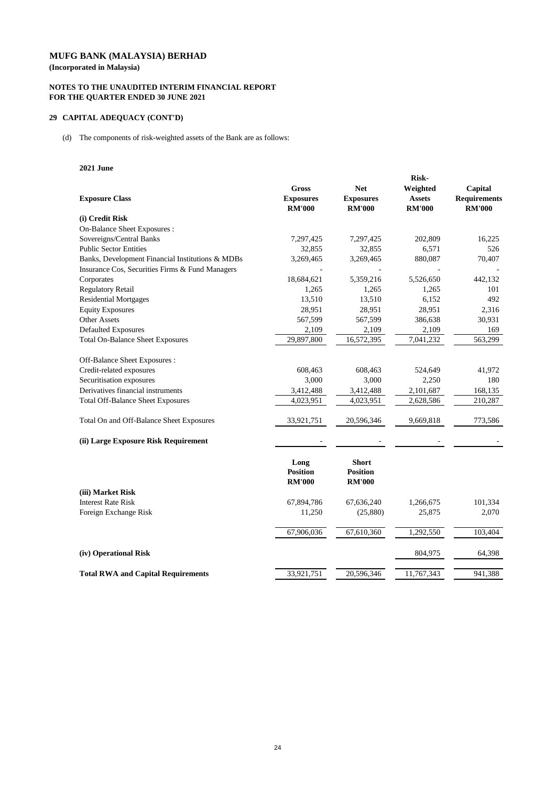**(Incorporated in Malaysia)**

# **NOTES TO THE UNAUDITED INTERIM FINANCIAL REPORT FOR THE QUARTER ENDED 30 JUNE 2021**

# **29 CAPITAL ADEQUACY (CONT'D)**

(d) The components of risk-weighted assets of the Bank are as follows:

#### **2021 June**

|                                                  |                                                   |                                                  | <b>Risk-</b>                               |                                                 |
|--------------------------------------------------|---------------------------------------------------|--------------------------------------------------|--------------------------------------------|-------------------------------------------------|
| <b>Exposure Class</b>                            | <b>Gross</b><br><b>Exposures</b><br><b>RM'000</b> | <b>Net</b><br><b>Exposures</b><br><b>RM'000</b>  | Weighted<br><b>Assets</b><br><b>RM'000</b> | Capital<br><b>Requirements</b><br><b>RM'000</b> |
| (i) Credit Risk                                  |                                                   |                                                  |                                            |                                                 |
| <b>On-Balance Sheet Exposures:</b>               |                                                   |                                                  |                                            |                                                 |
| Sovereigns/Central Banks                         | 7,297,425                                         | 7,297,425                                        | 202,809                                    | 16,225                                          |
| <b>Public Sector Entities</b>                    | 32,855                                            | 32,855                                           | 6,571                                      | 526                                             |
| Banks, Development Financial Institutions & MDBs | 3,269,465                                         | 3,269,465                                        | 880,087                                    | 70,407                                          |
| Insurance Cos, Securities Firms & Fund Managers  |                                                   |                                                  |                                            |                                                 |
| Corporates                                       | 18,684,621                                        | 5,359,216                                        | 5,526,650                                  | 442,132                                         |
| <b>Regulatory Retail</b>                         | 1,265                                             | 1,265                                            | 1,265                                      | 101                                             |
| <b>Residential Mortgages</b>                     | 13,510                                            | 13,510                                           | 6,152                                      | 492                                             |
| <b>Equity Exposures</b>                          | 28,951                                            | 28,951                                           | 28,951                                     | 2,316                                           |
| <b>Other Assets</b>                              | 567,599                                           | 567,599                                          | 386,638                                    | 30,931                                          |
| <b>Defaulted Exposures</b>                       | 2,109                                             | 2,109                                            | 2,109                                      | 169                                             |
| <b>Total On-Balance Sheet Exposures</b>          | 29,897,800                                        | 16,572,395                                       | 7,041,232                                  | 563,299                                         |
| Off-Balance Sheet Exposures :                    |                                                   |                                                  |                                            |                                                 |
| Credit-related exposures                         | 608,463                                           | 608,463                                          | 524,649                                    | 41,972                                          |
| Securitisation exposures                         | 3,000                                             | 3,000                                            | 2,250                                      | 180                                             |
| Derivatives financial instruments                | 3,412,488                                         | 3,412,488                                        | 2,101,687                                  | 168,135                                         |
| <b>Total Off-Balance Sheet Exposures</b>         | 4,023,951                                         | 4,023,951                                        | 2,628,586                                  | 210,287                                         |
| Total On and Off-Balance Sheet Exposures         | 33,921,751                                        | 20,596,346                                       | 9,669,818                                  | 773,586                                         |
| (ii) Large Exposure Risk Requirement             |                                                   |                                                  |                                            |                                                 |
|                                                  | Long<br><b>Position</b><br><b>RM'000</b>          | <b>Short</b><br><b>Position</b><br><b>RM'000</b> |                                            |                                                 |
| (iii) Market Risk                                |                                                   |                                                  |                                            |                                                 |
| <b>Interest Rate Risk</b>                        | 67,894,786                                        | 67,636,240                                       | 1,266,675                                  | 101,334                                         |
| Foreign Exchange Risk                            | 11,250                                            | (25,880)                                         | 25,875                                     | 2,070                                           |
|                                                  | 67,906,036                                        | 67,610,360                                       | 1,292,550                                  | 103,404                                         |
| (iv) Operational Risk                            |                                                   |                                                  | 804,975                                    | 64,398                                          |
| <b>Total RWA and Capital Requirements</b>        | 33,921,751                                        | 20,596,346                                       | 11,767,343                                 | 941,388                                         |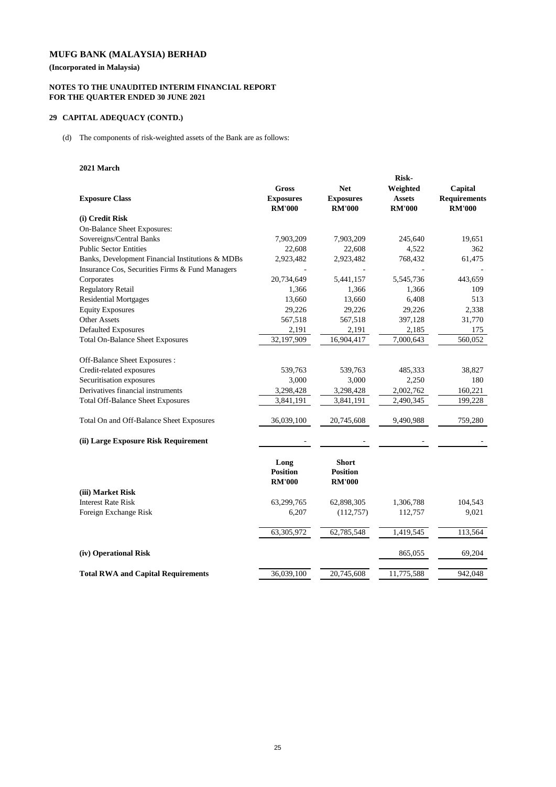**(Incorporated in Malaysia)**

# **NOTES TO THE UNAUDITED INTERIM FINANCIAL REPORT FOR THE QUARTER ENDED 30 JUNE 2021**

# **29 CAPITAL ADEQUACY (CONTD.)**

(d) The components of risk-weighted assets of the Bank are as follows:

#### **2021 March**

|                                                  |                                                   |                                                  | <b>Risk-</b>                               |                                                 |
|--------------------------------------------------|---------------------------------------------------|--------------------------------------------------|--------------------------------------------|-------------------------------------------------|
| <b>Exposure Class</b>                            | <b>Gross</b><br><b>Exposures</b><br><b>RM'000</b> | <b>Net</b><br><b>Exposures</b><br><b>RM'000</b>  | Weighted<br><b>Assets</b><br><b>RM'000</b> | Capital<br><b>Requirements</b><br><b>RM'000</b> |
| (i) Credit Risk                                  |                                                   |                                                  |                                            |                                                 |
| <b>On-Balance Sheet Exposures:</b>               |                                                   |                                                  |                                            |                                                 |
| Sovereigns/Central Banks                         | 7,903,209                                         | 7,903,209                                        | 245,640                                    | 19,651                                          |
| <b>Public Sector Entities</b>                    | 22,608                                            | 22,608                                           | 4,522                                      | 362                                             |
| Banks, Development Financial Institutions & MDBs | 2,923,482                                         | 2,923,482                                        | 768,432                                    | 61,475                                          |
| Insurance Cos, Securities Firms & Fund Managers  |                                                   |                                                  |                                            |                                                 |
| Corporates                                       | 20,734,649                                        | 5,441,157                                        | 5,545,736                                  | 443,659                                         |
| <b>Regulatory Retail</b>                         | 1,366                                             | 1,366                                            | 1,366                                      | 109                                             |
| <b>Residential Mortgages</b>                     | 13,660                                            | 13,660                                           | 6,408                                      | 513                                             |
| <b>Equity Exposures</b>                          | 29,226                                            | 29,226                                           | 29,226                                     | 2,338                                           |
| <b>Other Assets</b>                              | 567,518                                           | 567,518                                          | 397,128                                    | 31,770                                          |
| <b>Defaulted Exposures</b>                       | 2,191                                             | 2,191                                            | 2,185                                      | 175                                             |
| <b>Total On-Balance Sheet Exposures</b>          | 32,197,909                                        | 16,904,417                                       | 7,000,643                                  | 560,052                                         |
| <b>Off-Balance Sheet Exposures:</b>              |                                                   |                                                  |                                            |                                                 |
| Credit-related exposures                         | 539,763                                           | 539,763                                          | 485,333                                    | 38,827                                          |
| Securitisation exposures                         | 3,000                                             | 3,000                                            | 2,250                                      | 180                                             |
| Derivatives financial instruments                | 3,298,428                                         | 3,298,428                                        | 2,002,762                                  | 160,221                                         |
| <b>Total Off-Balance Sheet Exposures</b>         | 3,841,191                                         | 3,841,191                                        | 2,490,345                                  | 199,228                                         |
| Total On and Off-Balance Sheet Exposures         | 36,039,100                                        | 20,745,608                                       | 9,490,988                                  | 759,280                                         |
| (ii) Large Exposure Risk Requirement             |                                                   |                                                  |                                            |                                                 |
|                                                  | Long<br><b>Position</b><br><b>RM'000</b>          | <b>Short</b><br><b>Position</b><br><b>RM'000</b> |                                            |                                                 |
| (iii) Market Risk                                |                                                   |                                                  |                                            |                                                 |
| <b>Interest Rate Risk</b>                        | 63,299,765                                        | 62,898,305                                       | 1,306,788                                  | 104,543                                         |
| Foreign Exchange Risk                            | 6,207                                             | (112,757)                                        | 112,757                                    | 9,021                                           |
|                                                  | 63,305,972                                        | 62,785,548                                       | 1,419,545                                  | 113,564                                         |
| (iv) Operational Risk                            |                                                   |                                                  | 865,055                                    | 69,204                                          |
| <b>Total RWA and Capital Requirements</b>        | 36,039,100                                        | 20,745,608                                       | 11,775,588                                 | 942,048                                         |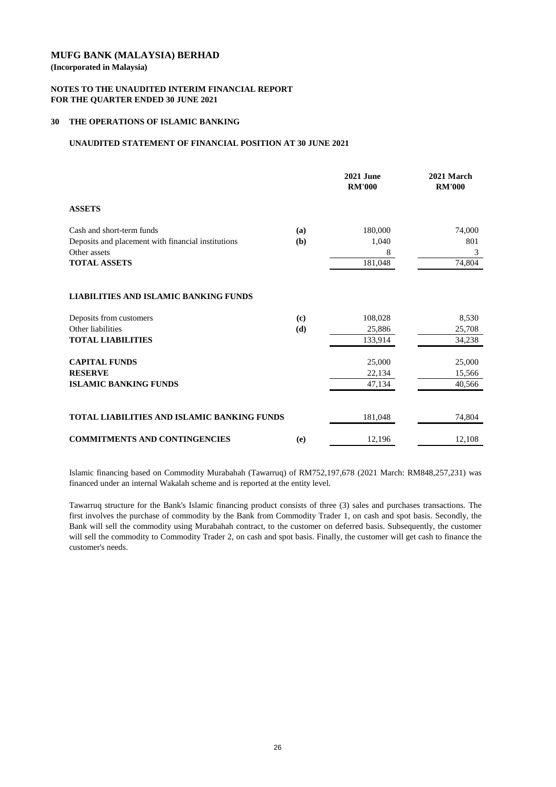**(Incorporated in Malaysia)**

#### **NOTES TO THE UNAUDITED INTERIM FINANCIAL REPORT FOR THE QUARTER ENDED 30 JUNE 2021**

#### **30 THE OPERATIONS OF ISLAMIC BANKING**

#### **UNAUDITED STATEMENT OF FINANCIAL POSITION AT 30 JUNE 2021**

|                                                    |     | <b>2021 June</b><br><b>RM'000</b> | 2021 March<br><b>RM'000</b> |
|----------------------------------------------------|-----|-----------------------------------|-----------------------------|
| <b>ASSETS</b>                                      |     |                                   |                             |
| Cash and short-term funds                          | (a) | 180,000                           | 74,000                      |
| Deposits and placement with financial institutions | (b) | 1,040                             | 801                         |
| Other assets                                       |     | 8                                 | 3                           |
| <b>TOTAL ASSETS</b>                                |     | 181,048                           | 74,804                      |
| <b>LIABILITIES AND ISLAMIC BANKING FUNDS</b>       |     |                                   |                             |
| Deposits from customers                            | (c) | 108,028                           | 8,530                       |
| Other liabilities                                  | (d) | 25,886                            | 25,708                      |
| <b>TOTAL LIABILITIES</b>                           |     | 133,914                           | 34,238                      |
| <b>CAPITAL FUNDS</b>                               |     | 25,000                            | 25,000                      |
| <b>RESERVE</b>                                     |     | 22,134                            | 15,566                      |
| <b>ISLAMIC BANKING FUNDS</b>                       |     | 47,134                            | 40,566                      |
| <b>TOTAL LIABILITIES AND ISLAMIC BANKING FUNDS</b> |     | 181,048                           | 74,804                      |
|                                                    |     |                                   |                             |
| <b>COMMITMENTS AND CONTINGENCIES</b>               | (e) | 12,196                            | 12,108                      |

Islamic financing based on Commodity Murabahah (Tawarruq) of RM752,197,678 (2021 March: RM848,257,231) was financed under an internal Wakalah scheme and is reported at the entity level.

Tawarruq structure for the Bank's Islamic financing product consists of three (3) sales and purchases transactions. The first involves the purchase of commodity by the Bank from Commodity Trader 1, on cash and spot basis. Secondly, the Bank will sell the commodity using Murabahah contract, to the customer on deferred basis. Subsequently, the customer will sell the commodity to Commodity Trader 2, on cash and spot basis. Finally, the customer will get cash to finance the customer's needs.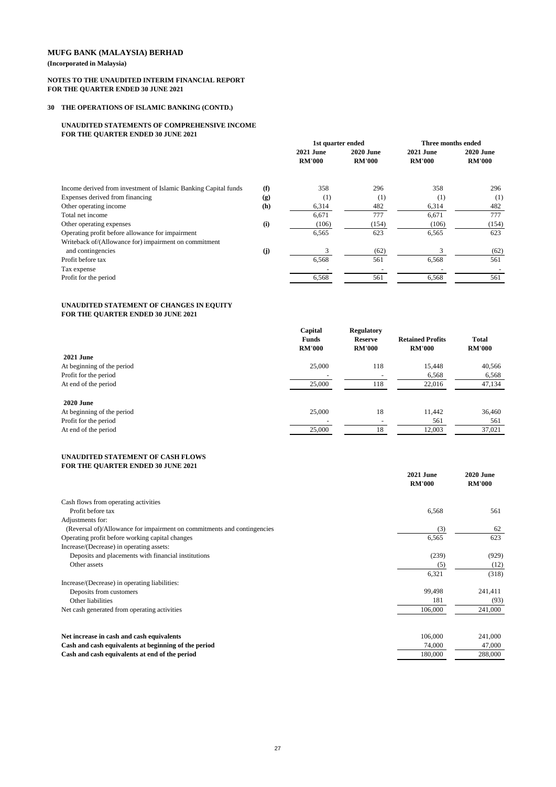**(Incorporated in Malaysia)**

# **NOTES TO THE UNAUDITED INTERIM FINANCIAL REPORT FOR THE QUARTER ENDED 30 JUNE 2021**

# **30 THE OPERATIONS OF ISLAMIC BANKING (CONTD.)**

### **UNAUDITED STATEMENTS OF COMPREHENSIVE INCOME FOR THE QUARTER ENDED 30 JUNE 2021**

#### **UNAUDITED STATEMENT OF CASH FLOWS FOR THE OUARTER ENDED 30 JUNE 2021**

# **UNAUDITED STATEMENT OF CHANGES IN EQUITY FOR THE QUARTER ENDED 30 JUNE 2021**

| Capital       | <b>Regulatory</b> |                         |               |
|---------------|-------------------|-------------------------|---------------|
| <b>Funds</b>  | <b>Reserve</b>    | <b>Retained Profits</b> | <b>Total</b>  |
| <b>RM'000</b> | <b>RM'000</b>     | <b>RM'000</b>           | <b>RM'000</b> |
|               |                   |                         |               |
| 25,000        | 118               | 15,448                  | 40,566        |
|               |                   | 6,568                   | 6,568         |
| 25,000        | 118               | 22,016                  | 47,134        |
|               |                   |                         |               |
| 25,000        | 18                | 11,442                  | 36,460        |
|               |                   | 561                     | 561           |
| 25,000        | 18                | 12,003                  | 37,021        |
|               |                   |                         |               |

|                                                                 |     | 1st quarter ended                 |                                   | Three months ended                |                                   |
|-----------------------------------------------------------------|-----|-----------------------------------|-----------------------------------|-----------------------------------|-----------------------------------|
|                                                                 |     | <b>2021 June</b><br><b>RM'000</b> | <b>2020 June</b><br><b>RM'000</b> | <b>2021 June</b><br><b>RM'000</b> | <b>2020 June</b><br><b>RM'000</b> |
|                                                                 |     |                                   |                                   |                                   |                                   |
| Income derived from investment of Islamic Banking Capital funds | (f) | 358                               | 296                               | 358                               | 296                               |
| Expenses derived from financing                                 | (g) | (1)                               | (1)                               | (1)                               | (1)                               |
| Other operating income                                          | (h) | 6,314                             | 482                               | 6,314                             | 482                               |
| Total net income                                                |     | 6,671                             | 777                               | 6,671                             | 777                               |
| Other operating expenses                                        | (i) | (106)                             | (154)                             | (106)                             | (154)                             |
| Operating profit before allowance for impairment                |     | 6,565                             | 623                               | 6,565                             | 623                               |
| Writeback of/(Allowance for) impairment on commitment           |     |                                   |                                   |                                   |                                   |
| and contingencies                                               | (j) |                                   | (62)                              | 3                                 | (62)                              |
| Profit before tax                                               |     | 6,568                             | 561                               | 6,568                             | 561                               |
| Tax expense                                                     |     |                                   |                                   |                                   |                                   |
| Profit for the period                                           |     | 6,568                             | 561                               | 6,568                             | 561                               |

| FUR THE QUARTER ENDED 30 JUNE 2021   | <b>2021 June</b><br><b>RM'000</b> | <b>2020 June</b><br><b>RM'000</b> |
|--------------------------------------|-----------------------------------|-----------------------------------|
| Cash flows from operating activities |                                   |                                   |

| Profit before tax                                                       | 6,568   | 561     |
|-------------------------------------------------------------------------|---------|---------|
| Adjustments for:                                                        |         |         |
| (Reversal of)/Allowance for impairment on commitments and contingencies | (3)     | 62      |
| Operating profit before working capital changes                         | 6,565   | 623     |
| Increase/(Decrease) in operating assets:                                |         |         |
| Deposits and placements with financial institutions                     | (239)   | (929)   |
| Other assets                                                            | (5)     | (12)    |
|                                                                         | 6,321   | (318)   |
| Increase/(Decrease) in operating liabilities:                           |         |         |
| Deposits from customers                                                 | 99,498  | 241,411 |
| Other liabilities                                                       | 181     | (93)    |
| Net cash generated from operating activities                            | 106,000 | 241,000 |
| Net increase in cash and cash equivalents                               | 106,000 | 241,000 |
| Cash and cash equivalents at beginning of the period                    | 74,000  | 47,000  |
| Cash and cash equivalents at end of the period                          | 180,000 | 288,000 |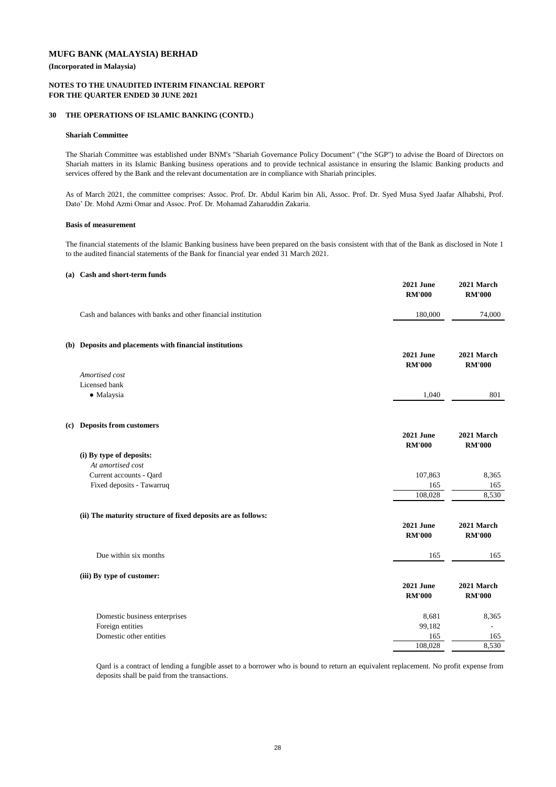**(Incorporated in Malaysia)**

### **NOTES TO THE UNAUDITED INTERIM FINANCIAL REPORT FOR THE QUARTER ENDED 30 JUNE 2021**

#### **30 THE OPERATIONS OF ISLAMIC BANKING (CONTD.)**

#### **Shariah Committee**

#### **Basis of measurement**

#### **(a) Cash and short-term funds**

|                                                               | <b>2021 June</b><br><b>RM'000</b> | 2021 March<br><b>RM'000</b> |
|---------------------------------------------------------------|-----------------------------------|-----------------------------|
| Cash and balances with banks and other financial institution  | 180,000                           | 74,000                      |
| (b) Deposits and placements with financial institutions       | <b>2021 June</b>                  | 2021 March                  |
| Amortised cost                                                | <b>RM'000</b>                     | <b>RM'000</b>               |
| Licensed bank                                                 |                                   |                             |
| · Malaysia                                                    | 1,040                             | 801                         |
| (c) Deposits from customers                                   | <b>2021 June</b>                  | 2021 March                  |
|                                                               | <b>RM'000</b>                     | <b>RM'000</b>               |
| (i) By type of deposits:<br>At amortised cost                 |                                   |                             |
| Current accounts - Qard                                       | 107,863                           | 8,365                       |
| Fixed deposits - Tawarruq                                     | 165                               | 165                         |
|                                                               | 108,028                           | 8,530                       |
| (ii) The maturity structure of fixed deposits are as follows: |                                   |                             |
|                                                               | <b>2021 June</b>                  | 2021 March                  |
|                                                               | <b>RM'000</b>                     | <b>RM'000</b>               |
| Due within six months                                         | 165                               | 165                         |

#### **(iii) By type of customer:**

|                               | <b>2021 June</b> | 2021 March               |  |
|-------------------------------|------------------|--------------------------|--|
|                               | <b>RM'000</b>    | <b>RM'000</b>            |  |
| Domestic business enterprises | 8,681            | 8,365                    |  |
| Foreign entities              | 99,182           | $\overline{\phantom{a}}$ |  |
| Domestic other entities       | 165              | 165                      |  |
|                               | 108,028          | 8,530                    |  |

The Shariah Committee was established under BNM's "Shariah Governance Policy Document" ("the SGP") to advise the Board of Directors on Shariah matters in its Islamic Banking business operations and to provide technical assistance in ensuring the Islamic Banking products and services offered by the Bank and the relevant documentation are in compliance with Shariah principles.

The financial statements of the Islamic Banking business have been prepared on the basis consistent with that of the Bank as disclosed in Note 1 to the audited financial statements of the Bank for financial year ended 31 March 2021.

As of March 2021, the committee comprises: Assoc. Prof. Dr. Abdul Karim bin Ali, Assoc. Prof. Dr. Syed Musa Syed Jaafar Alhabshi, Prof. Dato' Dr. Mohd Azmi Omar and Assoc. Prof. Dr. Mohamad Zaharuddin Zakaria.

Qard is a contract of lending a fungible asset to a borrower who is bound to return an equivalent replacement. No profit expense from deposits shall be paid from the transactions.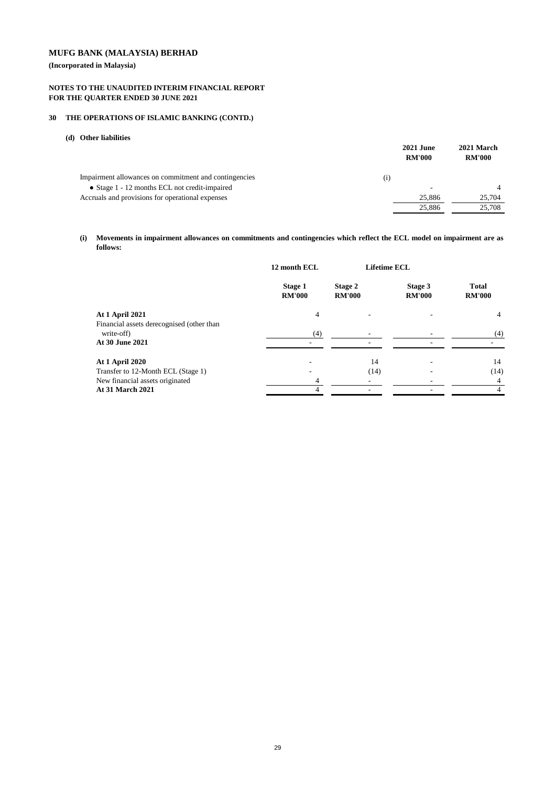**(Incorporated in Malaysia)**

# **NOTES TO THE UNAUDITED INTERIM FINANCIAL REPORT FOR THE QUARTER ENDED 30 JUNE 2021**

# **30 THE OPERATIONS OF ISLAMIC BANKING (CONTD.)**

### **(d) Other liabilities**

|                                                       |          | <b>2021 June</b><br><b>RM'000</b> | 2021 March<br><b>RM'000</b> |
|-------------------------------------------------------|----------|-----------------------------------|-----------------------------|
| Impairment allowances on commitment and contingencies | $\rm(i)$ |                                   |                             |
| • Stage $1 - 12$ months ECL not credit-impaired       |          |                                   |                             |
| Accruals and provisions for operational expenses      |          | 25,886                            | 25,704                      |
|                                                       |          | 25,886                            | 25,708                      |

(i) Movements in impairment allowances on commitments and contingencies which reflect the ECL model on impairment are as **follows:**

|                                                                     | 12 month ECL                    | <b>Lifetime ECL</b>      |                          |                               |
|---------------------------------------------------------------------|---------------------------------|--------------------------|--------------------------|-------------------------------|
|                                                                     | <b>Stage 1</b><br><b>RM'000</b> | Stage 2<br><b>RM'000</b> | Stage 3<br><b>RM'000</b> | <b>Total</b><br><b>RM'000</b> |
| <b>At 1 April 2021</b><br>Financial assets derecognised (other than | 4                               |                          |                          | 4                             |
| write-off)<br>At 30 June 2021                                       | (4)<br>$\overline{\phantom{0}}$ |                          | -                        | (4)                           |
| <b>At 1 April 2020</b>                                              |                                 | 14                       |                          | 14                            |
| Transfer to 12-Month ECL (Stage 1)                                  |                                 | (14)                     |                          | (14)                          |
| New financial assets originated                                     | 4                               |                          |                          | 4                             |
| <b>At 31 March 2021</b>                                             | 4                               |                          |                          | 4                             |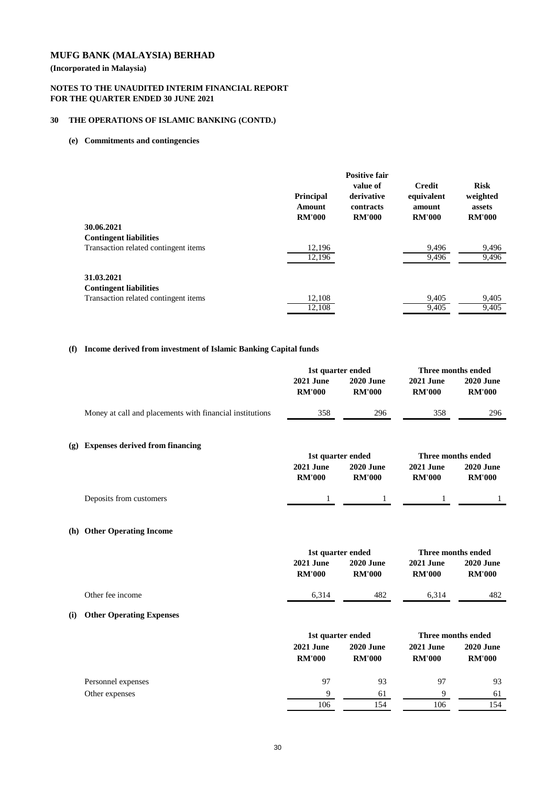# **(Incorporated in Malaysia)**

# **NOTES TO THE UNAUDITED INTERIM FINANCIAL REPORT FOR THE QUARTER ENDED 30 JUNE 2021**

# **30 THE OPERATIONS OF ISLAMIC BANKING (CONTD.)**

### **(e) Commitments and contingencies**

|                                      | Principal<br><b>Amount</b><br><b>RM'000</b> | <b>Positive fair</b><br>value of<br>derivative<br>contracts<br><b>RM'000</b> | <b>Credit</b><br>equivalent<br>amount<br><b>RM'000</b> | <b>Risk</b><br>weighted<br>assets<br><b>RM'000</b> |
|--------------------------------------|---------------------------------------------|------------------------------------------------------------------------------|--------------------------------------------------------|----------------------------------------------------|
| 30.06.2021                           |                                             |                                                                              |                                                        |                                                    |
| <b>Contingent liabilities</b>        |                                             |                                                                              |                                                        |                                                    |
| Transaction related contingent items | 12,196                                      |                                                                              | 9,496                                                  | 9,496                                              |
|                                      | 12,196                                      |                                                                              | 9,496                                                  | 9,496                                              |
| 31.03.2021                           |                                             |                                                                              |                                                        |                                                    |
| <b>Contingent liabilities</b>        |                                             |                                                                              |                                                        |                                                    |
| Transaction related contingent items | 12,108                                      |                                                                              | 9,405                                                  | 9,405                                              |
|                                      | 12,108                                      |                                                                              | 9,405                                                  | 9,405                                              |
|                                      |                                             |                                                                              |                                                        |                                                    |

#### **(f) Income derived from investment of Islamic Banking Capital funds**

|                  | <b>2021 June</b> | <b>2020 June</b> | <b>2021 June</b> | <b>2020 June</b> |
|------------------|------------------|------------------|------------------|------------------|
|                  | <b>RM'000</b>    | <b>RM'000</b>    | <b>RM'000</b>    | <b>RM'000</b>    |
| Other fee income | 6,314            | 482              | 6,314            | 482              |

|                                                          | <b>2021 June</b><br><b>RM'000</b> | 1st quarter ended<br><b>2020 June</b><br><b>RM'000</b> | Three months ended<br><b>2021 June</b><br><b>RM'000</b> | <b>2020 June</b><br><b>RM'000</b> |
|----------------------------------------------------------|-----------------------------------|--------------------------------------------------------|---------------------------------------------------------|-----------------------------------|
| Money at call and placements with financial institutions | 358                               | 296                                                    | 358                                                     | 296                               |
| (g) Expenses derived from financing                      | <b>2021 June</b><br><b>RM'000</b> | 1st quarter ended<br><b>2020 June</b><br><b>RM'000</b> | Three months ended<br><b>2021 June</b><br><b>RM'000</b> | <b>2020 June</b><br><b>RM'000</b> |
| Deposits from customers                                  |                                   |                                                        |                                                         |                                   |
| (h) Other Operating Income                               |                                   |                                                        |                                                         |                                   |
|                                                          |                                   | 1st quarter ended                                      | Three months ended                                      |                                   |
|                                                          | $2021$ Iune                       | $2020$ Iune                                            | $2021$ Iune                                             | $2020$ Iune                       |

#### **(i) Other Operating Expenses**

|                    |                                   | 1st quarter ended                 |                                   | Three months ended                |
|--------------------|-----------------------------------|-----------------------------------|-----------------------------------|-----------------------------------|
|                    | <b>2021 June</b><br><b>RM'000</b> | <b>2020 June</b><br><b>RM'000</b> | <b>2021 June</b><br><b>RM'000</b> | <b>2020 June</b><br><b>RM'000</b> |
| Personnel expenses | 97                                | 93                                | 97                                | 93                                |
| Other expenses     | Q                                 | 61                                | 9                                 | 61                                |
|                    | 106                               | 154                               | 106                               | 154                               |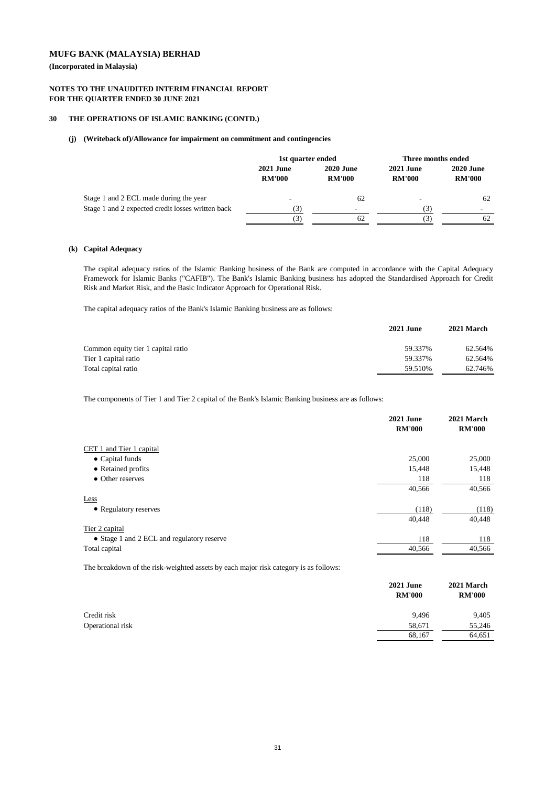**(Incorporated in Malaysia)**

#### **NOTES TO THE UNAUDITED INTERIM FINANCIAL REPORT FOR THE QUARTER ENDED 30 JUNE 2021**

#### **30 THE OPERATIONS OF ISLAMIC BANKING (CONTD.)**

#### **(j) (Writeback of)/Allowance for impairment on commitment and contingencies**

#### **(k) Capital Adequacy**

The capital adequacy ratios of the Bank's Islamic Banking business are as follows:

|                                    | <b>2021 June</b> | 2021 March |
|------------------------------------|------------------|------------|
| Common equity tier 1 capital ratio | 59.337%          | 62.564%    |
| Tier 1 capital ratio               | 59.337%          | 62.564%    |
| Total capital ratio                | 59.510\%         | 62.746%    |

The components of Tier 1 and Tier 2 capital of the Bank's Islamic Banking business are as follows:

|                                                   | 1st quarter ended                 |                                   | Three months ended                |                                   |
|---------------------------------------------------|-----------------------------------|-----------------------------------|-----------------------------------|-----------------------------------|
|                                                   | <b>2021 June</b><br><b>RM'000</b> | <b>2020 June</b><br><b>RM'000</b> | <b>2021 June</b><br><b>RM'000</b> | <b>2020 June</b><br><b>RM'000</b> |
| Stage 1 and 2 ECL made during the year            |                                   | 62                                |                                   | 62                                |
| Stage 1 and 2 expected credit losses written back | (3)                               |                                   | (3)                               |                                   |
|                                                   | (3)                               | 62                                | (3)                               | 62                                |

|                                            | <b>2021 June</b> | 2021 March    |
|--------------------------------------------|------------------|---------------|
|                                            | <b>RM'000</b>    | <b>RM'000</b> |
| CET 1 and Tier 1 capital                   |                  |               |
| • Capital funds                            | 25,000           | 25,000        |
| • Retained profits                         | 15,448           | 15,448        |
| • Other reserves                           | 118              | 118           |
|                                            | 40,566           | 40,566        |
| Less                                       |                  |               |
| • Regulatory reserves                      | (118)            | (118)         |
|                                            | 40,448           | 40,448        |
| Tier 2 capital                             |                  |               |
| • Stage 1 and 2 ECL and regulatory reserve | 118              | 118           |
| Total capital                              | 40,566           | 40,566        |

The breakdown of the risk-weighted assets by each major risk category is as follows:

|                  | <b>2021 June</b><br><b>RM'000</b> | 2021 March<br><b>RM'000</b> |
|------------------|-----------------------------------|-----------------------------|
| Credit risk      | 9,496                             | 9,405                       |
| Operational risk | 58,671                            | 55,246                      |
|                  | 68,167                            | 64,651                      |

The capital adequacy ratios of the Islamic Banking business of the Bank are computed in accordance with the Capital Adequacy Framework for Islamic Banks ("CAFIB"). The Bank's Islamic Banking business has adopted the Standardised Approach for Credit Risk and Market Risk, and the Basic Indicator Approach for Operational Risk.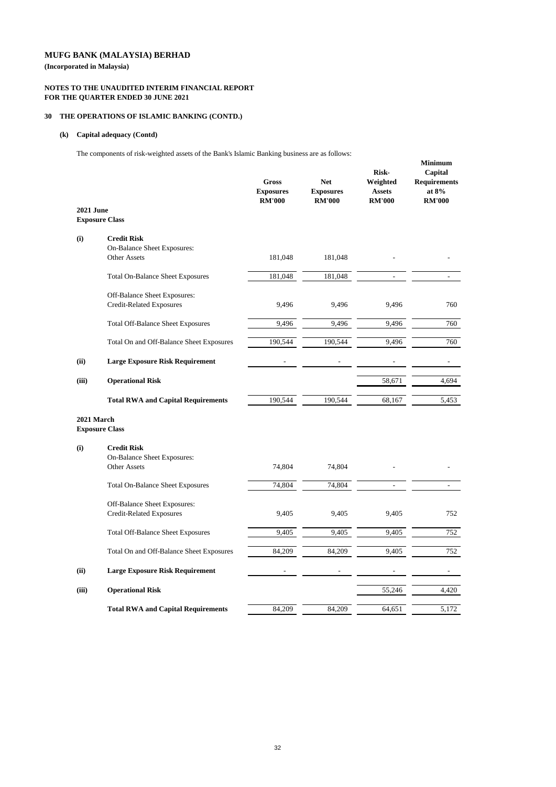**(Incorporated in Malaysia)**

# **NOTES TO THE UNAUDITED INTERIM FINANCIAL REPORT FOR THE QUARTER ENDED 30 JUNE 2021**

# **30 THE OPERATIONS OF ISLAMIC BANKING (CONTD.)**

### **(k) Capital adequacy (Contd)**

The components of risk-weighted assets of the Bank's Islamic Banking business are as follows:

| <b>2021 June</b> |                                                                                 | <b>Gross</b><br><b>Exposures</b><br><b>RM'000</b> | <b>Net</b><br><b>Exposures</b><br><b>RM'000</b> | <b>Risk-</b><br>Weighted<br><b>Assets</b><br><b>RM'000</b> | <b>Minimum</b><br>Capital<br><b>Requirements</b><br>at $8\%$<br><b>RM'000</b> |
|------------------|---------------------------------------------------------------------------------|---------------------------------------------------|-------------------------------------------------|------------------------------------------------------------|-------------------------------------------------------------------------------|
|                  | <b>Exposure Class</b>                                                           |                                                   |                                                 |                                                            |                                                                               |
| (i)              | <b>Credit Risk</b><br><b>On-Balance Sheet Exposures:</b><br><b>Other Assets</b> | 181,048                                           | 181,048                                         |                                                            |                                                                               |
|                  | <b>Total On-Balance Sheet Exposures</b>                                         | 181,048                                           | 181,048                                         | $\overline{\phantom{0}}$                                   |                                                                               |
|                  | <b>Off-Balance Sheet Exposures:</b><br><b>Credit-Related Exposures</b>          | 9,496                                             | 9,496                                           | 9,496                                                      | 760                                                                           |
|                  | <b>Total Off-Balance Sheet Exposures</b>                                        | 9,496                                             | 9,496                                           | 9,496                                                      | 760                                                                           |
|                  | Total On and Off-Balance Sheet Exposures                                        | 190,544                                           | 190,544                                         | 9,496                                                      | 760                                                                           |
| (ii)             | <b>Large Exposure Risk Requirement</b>                                          |                                                   |                                                 |                                                            |                                                                               |
| (iii)            | <b>Operational Risk</b>                                                         |                                                   |                                                 | 58,671                                                     | 4,694                                                                         |
|                  | <b>Total RWA and Capital Requirements</b>                                       | 190,544                                           | 190,544                                         | 68,167                                                     | 5,453                                                                         |
| 2021 March       | <b>Exposure Class</b>                                                           |                                                   |                                                 |                                                            |                                                                               |
| (i)              | <b>Credit Risk</b><br><b>On-Balance Sheet Exposures:</b>                        |                                                   |                                                 |                                                            |                                                                               |
|                  | <b>Other Assets</b>                                                             | 74,804                                            | 74,804                                          |                                                            |                                                                               |
|                  | <b>Total On-Balance Sheet Exposures</b>                                         | 74,804                                            | 74,804                                          | $\overline{\phantom{0}}$                                   |                                                                               |
|                  | <b>Off-Balance Sheet Exposures:</b>                                             |                                                   |                                                 |                                                            |                                                                               |
|                  | <b>Credit-Related Exposures</b>                                                 | 9,405                                             | 9,405                                           | 9,405                                                      | 752                                                                           |
|                  | <b>Total Off-Balance Sheet Exposures</b>                                        | 9,405                                             | 9,405                                           | 9,405                                                      | 752                                                                           |

|       | Total On and Off-Balance Sheet Exposures  | 84,209                   | 84,209 | 9,405  | 752   |
|-------|-------------------------------------------|--------------------------|--------|--------|-------|
| (ii)  | <b>Large Exposure Risk Requirement</b>    | $\overline{\phantom{0}}$ | -      |        |       |
| (iii) | <b>Operational Risk</b>                   |                          |        | 55,246 | 4,420 |
|       | <b>Total RWA and Capital Requirements</b> | 84,209                   | 84,209 | 64,651 | 5,172 |